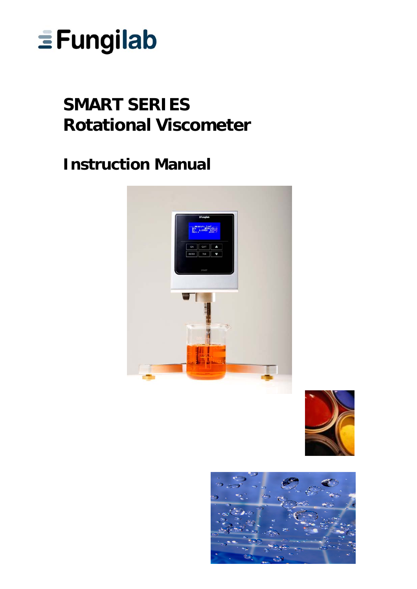

# **SMART SERIES Rotational Viscometer**

# **Instruction Manual**





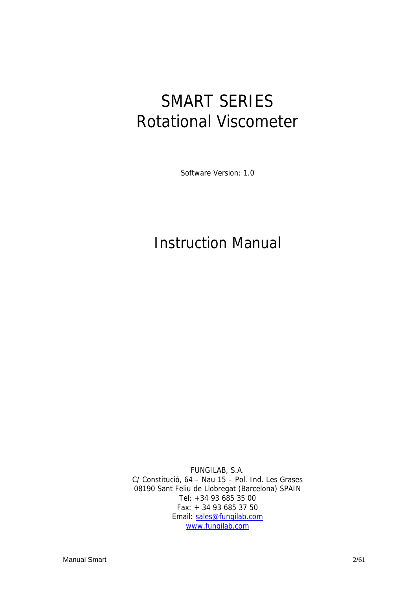# SMART SERIES Rotational Viscometer

Software Version: 1.0

# Instruction Manual

FUNGILAB, S.A. C/ Constitució, 64 – Nau 15 – Pol. Ind. Les Grases 08190 Sant Feliu de Llobregat (Barcelona) SPAIN Tel: +34 93 685 35 00 Fax: + 34 93 685 37 50 Email: sales@fungilab.com www.fungilab.com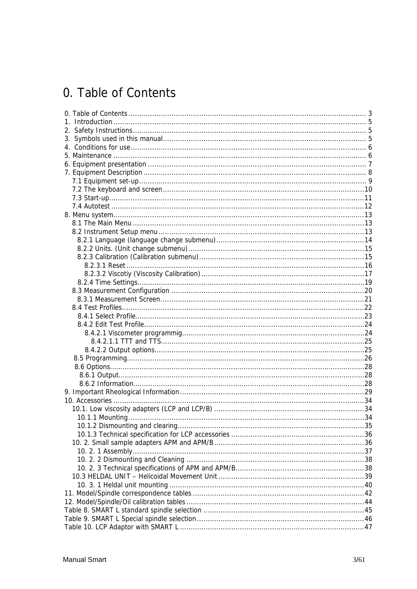## 0. Table of Contents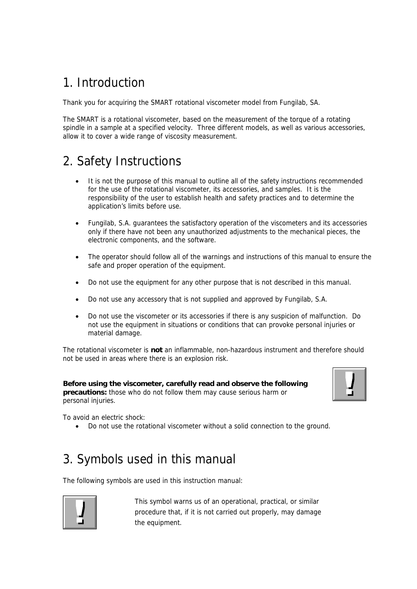## 1. Introduction

Thank you for acquiring the SMART rotational viscometer model from Fungilab, SA.

The SMART is a rotational viscometer, based on the measurement of the torque of a rotating spindle in a sample at a specified velocity. Three different models, as well as various accessories, allow it to cover a wide range of viscosity measurement.

## 2. Safety Instructions

- It is not the purpose of this manual to outline all of the safety instructions recommended for the use of the rotational viscometer, its accessories, and samples. It is the responsibility of the user to establish health and safety practices and to determine the application's limits before use.
- Fungilab, S.A. guarantees the satisfactory operation of the viscometers and its accessories only if there have not been any unauthorized adjustments to the mechanical pieces, the electronic components, and the software.
- The operator should follow all of the warnings and instructions of this manual to ensure the safe and proper operation of the equipment.
- Do not use the equipment for any other purpose that is not described in this manual.
- Do not use any accessory that is not supplied and approved by Fungilab, S.A.
- Do not use the viscometer or its accessories if there is any suspicion of malfunction. Do not use the equipment in situations or conditions that can provoke personal injuries or material damage.

The rotational viscometer is **not** an inflammable, non-hazardous instrument and therefore should not be used in areas where there is an explosion risk.

**Before using the viscometer, carefully read and observe the following precautions:** those who do not follow them may cause serious harm or personal injuries.



To avoid an electric shock:

• Do not use the rotational viscometer without a solid connection to the ground.

## 3. Symbols used in this manual

The following symbols are used in this instruction manual:



This symbol warns us of an operational, practical, or similar procedure that, if it is not carried out properly, may damage the equipment.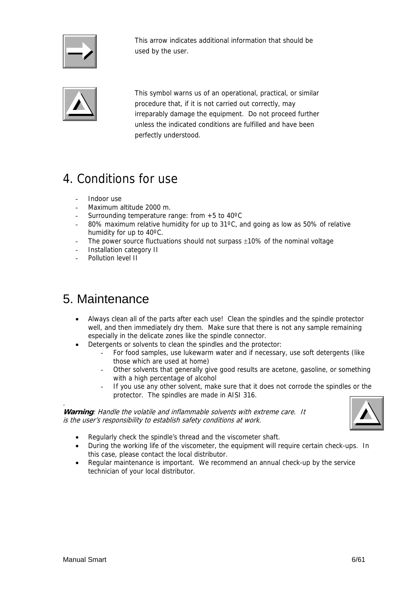

This arrow indicates additional information that should be used by the user.



This symbol warns us of an operational, practical, or similar procedure that, if it is not carried out correctly, may irreparably damage the equipment. Do not proceed further unless the indicated conditions are fulfilled and have been perfectly understood.

## 4. Conditions for use

- Indoor use
- Maximum altitude 2000 m.
- Surrounding temperature range: from  $+5$  to 40 $\degree$ C
- 80% maximum relative humidity for up to  $31^{\circ}$ C, and going as low as 50% of relative humidity for up to 40ºC.
- The power source fluctuations should not surpass  $\pm 10\%$  of the nominal voltage
- Installation category II
- Pollution level II

## 5. Maintenance

- Always clean all of the parts after each use! Clean the spindles and the spindle protector well, and then immediately dry them. Make sure that there is not any sample remaining especially in the delicate zones like the spindle connector.
- Detergents or solvents to clean the spindles and the protector:
	- For food samples, use lukewarm water and if necessary, use soft detergents (like those which are used at home)
	- Other solvents that generally give good results are acetone, gasoline, or something with a high percentage of alcohol
	- If you use any other solvent, make sure that it does not corrode the spindles or the protector. The spindles are made in AISI 316.

**Warning**: Handle the volatile and inflammable solvents with extreme care. It is the user's responsibility to establish safety conditions at work.



- Regularly check the spindle's thread and the viscometer shaft.
- During the working life of the viscometer, the equipment will require certain check-ups. In this case, please contact the local distributor.
- Regular maintenance is important. We recommend an annual check-up by the service technician of your local distributor.

.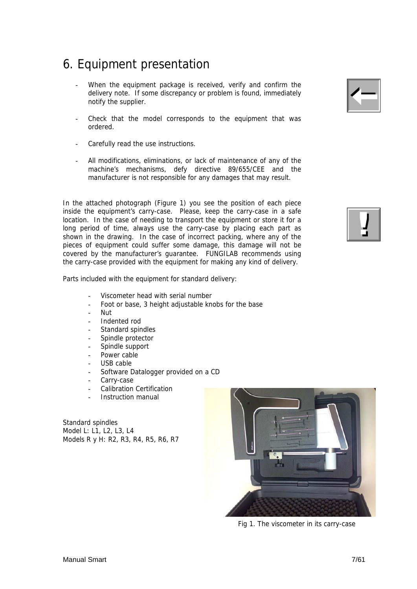## 6. Equipment presentation

- When the equipment package is received, verify and confirm the delivery note. If some discrepancy or problem is found, immediately notify the supplier.
- Check that the model corresponds to the equipment that was ordered.
- Carefully read the use instructions.
- All modifications, eliminations, or lack of maintenance of any of the machine's mechanisms, defy directive 89/655/CEE and the manufacturer is not responsible for any damages that may result.

In the attached photograph (Figure 1) you see the position of each piece inside the equipment's carry-case. Please, keep the carry-case in a safe location. In the case of needing to transport the equipment or store it for a long period of time, always use the carry-case by placing each part as shown in the drawing. In the case of incorrect packing, where any of the pieces of equipment could suffer some damage, this damage will not be covered by the manufacturer's guarantee. FUNGILAB recommends using the carry-case provided with the equipment for making any kind of delivery.

Parts included with the equipment for standard delivery:

- Viscometer head with serial number
- Foot or base, 3 height adjustable knobs for the base
- Nut
- Indented rod
- Standard spindles
- Spindle protector
- Spindle support
- Power cable
- USB cable
- Software Datalogger provided on a CD
- Carry-case
- Calibration Certification
- Instruction manual

Standard spindles Model L: L1, L2, L3, L4 Models R y H: R2, R3, R4, R5, R6, R7



Fig 1. The viscometer in its carry-case



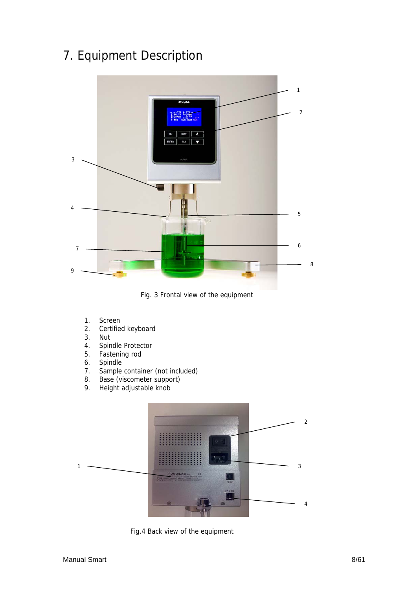## 7. Equipment Description



Fig. 3 Frontal view of the equipment

- 1. Screen
- 2. Certified keyboard
- 3. Nut
- 4. Spindle Protector
- 5. Fastening rod
- 6. Spindle
- 7. Sample container (not included)
- 8. Base (viscometer support)<br>9. Height adjustable knob
- Height adjustable knob



Fig.4 Back view of the equipment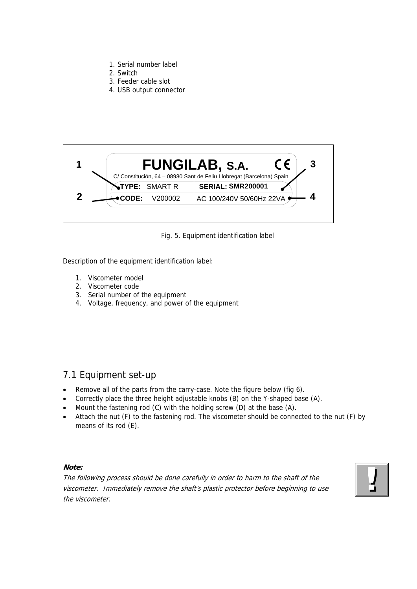- 1. Serial number label
- 2. Switch
- 3. Feeder cable slot
- 4. USB output connector



#### Fig. 5. Equipment identification label

Description of the equipment identification label:

- 1. Viscometer model
- 2. Viscometer code
- 3. Serial number of the equipment
- 4. Voltage, frequency, and power of the equipment

## 7.1 Equipment set-up

- Remove all of the parts from the carry-case. Note the figure below (fig 6).
- Correctly place the three height adjustable knobs (B) on the Y-shaped base (A).
- Mount the fastening rod (C) with the holding screw (D) at the base (A).
- Attach the nut (F) to the fastening rod. The viscometer should be connected to the nut (F) by means of its rod (E).

#### **Note:**

The following process should be done carefully in order to harm to the shaft of the viscometer. Immediately remove the shaft's plastic protector before beginning to use the viscometer.

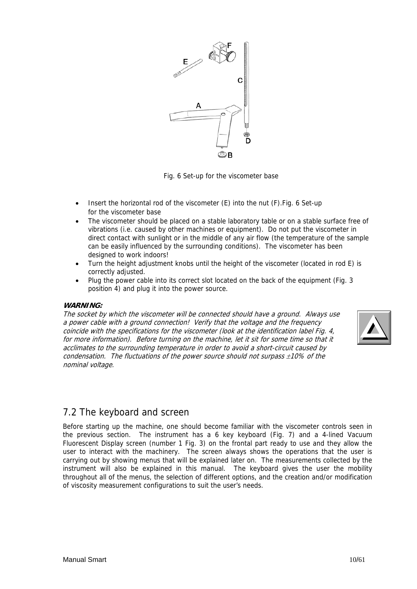

Fig. 6 Set-up for the viscometer base

- Insert the horizontal rod of the viscometer (E) into the nut (F).Fig. 6 Set-up for the viscometer base
- The viscometer should be placed on a stable laboratory table or on a stable surface free of vibrations (i.e. caused by other machines or equipment). Do not put the viscometer in direct contact with sunlight or in the middle of any air flow (the temperature of the sample can be easily influenced by the surrounding conditions). The viscometer has been designed to work indoors!
- Turn the height adjustment knobs until the height of the viscometer (located in rod E) is correctly adjusted.
- Plug the power cable into its correct slot located on the back of the equipment (Fig. 3 position 4) and plug it into the power source.

#### **WARNING:**

The socket by which the viscometer will be connected should have a ground. Always use a power cable with a ground connection! Verify that the voltage and the frequency coincide with the specifications for the viscometer (look at the identification label Fig. 4, for more information). Before turning on the machine, let it sit for some time so that it acclimates to the surrounding temperature in order to avoid a short-circuit caused by condensation. The fluctuations of the power source should not surpass  $\pm 10\%$  of the nominal voltage.



## 7.2 The keyboard and screen

Before starting up the machine, one should become familiar with the viscometer controls seen in the previous section. The instrument has a 6 key keyboard (Fig. 7) and a 4-lined Vacuum Fluorescent Display screen (number 1 Fig. 3) on the frontal part ready to use and they allow the user to interact with the machinery. The screen always shows the operations that the user is carrying out by showing menus that will be explained later on. The measurements collected by the instrument will also be explained in this manual. The keyboard gives the user the mobility throughout all of the menus, the selection of different options, and the creation and/or modification of viscosity measurement configurations to suit the user's needs.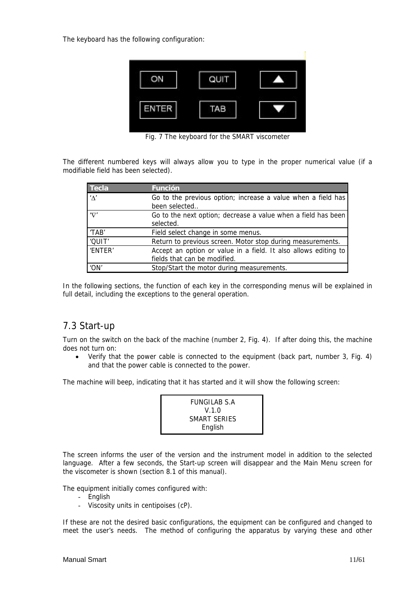The keyboard has the following configuration:



Fig. 7 The keyboard for the SMART viscometer

The different numbered keys will always allow you to type in the proper numerical value (if a modifiable field has been selected).

| <b>Tecla</b>                        | <b>Función</b>                                                                                  |
|-------------------------------------|-------------------------------------------------------------------------------------------------|
| $'$ <sup><math>\wedge'</math></sup> | Go to the previous option; increase a value when a field has<br>been selected                   |
| $\sqrt{V}$                          | Go to the next option; decrease a value when a field has been<br>selected.                      |
| 'TAB'                               | Field select change in some menus.                                                              |
| 'QUIT'                              | Return to previous screen. Motor stop during measurements.                                      |
| 'ENTER'                             | Accept an option or value in a field. It also allows editing to<br>fields that can be modified. |
| 'ON'                                | Stop/Start the motor during measurements.                                                       |

In the following sections, the function of each key in the corresponding menus will be explained in full detail, including the exceptions to the general operation.

### 7.3 Start-up

Turn on the switch on the back of the machine (number 2, Fig. 4). If after doing this, the machine does not turn on:

• Verify that the power cable is connected to the equipment (back part, number 3, Fig. 4) and that the power cable is connected to the power.

The machine will beep, indicating that it has started and it will show the following screen:

| FUNGILAB S.A |  |
|--------------|--|
| V.1.0        |  |
| SMART SERIES |  |
| English      |  |

The screen informs the user of the version and the instrument model in addition to the selected language. After a few seconds, the Start-up screen will disappear and the Main Menu screen for the viscometer is shown (section 8.1 of this manual).

The equipment initially comes configured with:

- English
- Viscosity units in centipoises (cP).

If these are not the desired basic configurations, the equipment can be configured and changed to meet the user's needs. The method of configuring the apparatus by varying these and other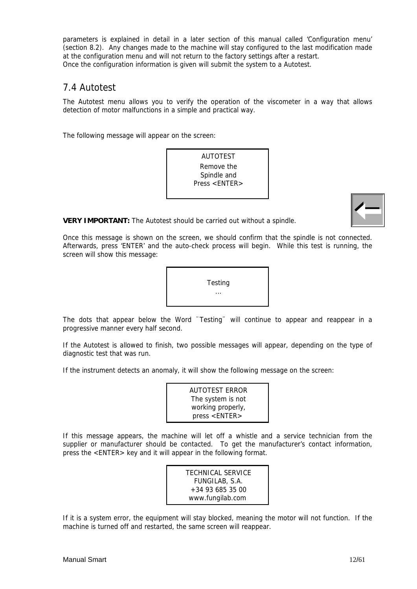parameters is explained in detail in a later section of this manual called 'Configuration menu' (section 8.2). Any changes made to the machine will stay configured to the last modification made at the configuration menu and will not return to the factory settings after a restart. Once the configuration information is given will submit the system to a Autotest.

### 7.4 Autotest

The Autotest menu allows you to verify the operation of the viscometer in a way that allows detection of motor malfunctions in a simple and practical way.

The following message will appear on the screen:

AUTOTEST Remove the Spindle and Press <ENTER>



**VERY IMPORTANT:** The Autotest should be carried out without a spindle.

Once this message is shown on the screen, we should confirm that the spindle is not connected. Afterwards, press 'ENTER' and the auto-check process will begin. While this test is running, the screen will show this message:



The dots that appear below the Word ¨Testing¨ will continue to appear and reappear in a progressive manner every half second.

If the Autotest is allowed to finish, two possible messages will appear, depending on the type of diagnostic test that was run.

If the instrument detects an anomaly, it will show the following message on the screen:



If this message appears, the machine will let off a whistle and a service technician from the supplier or manufacturer should be contacted. To get the manufacturer's contact information, press the <ENTER> key and it will appear in the following format.

> TECHNICAL SERVICE FUNGILAB, S.A. +34 93 685 35 00 www.fungilab.com

If it is a system error, the equipment will stay blocked, meaning the motor will not function. If the machine is turned off and restarted, the same screen will reappear.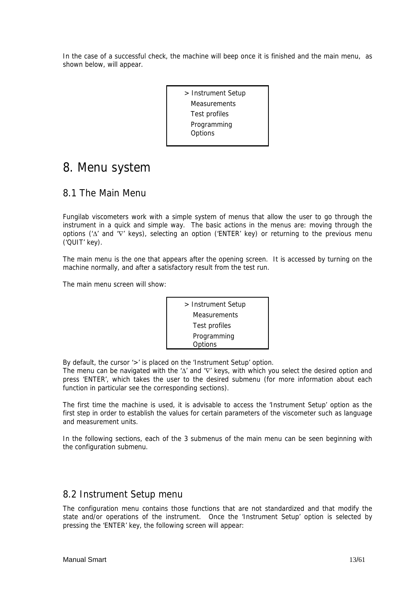In the case of a successful check, the machine will beep once it is finished and the main menu, as shown below, will appear.

> > Instrument Setup Measurements Test profiles Programming **Options**

## 8. Menu system

## 8.1 The Main Menu

Fungilab viscometers work with a simple system of menus that allow the user to go through the instrument in a quick and simple way. The basic actions in the menus are: moving through the options ('Δ' and '∇' keys), selecting an option ('ENTER' key) or returning to the previous menu ('QUIT' key).

The main menu is the one that appears after the opening screen. It is accessed by turning on the machine normally, and after a satisfactory result from the test run.

The main menu screen will show:



By default, the cursor '>' is placed on the 'Instrument Setup' option.

The menu can be navigated with the 'Δ' and '∇' keys, with which you select the desired option and press 'ENTER', which takes the user to the desired submenu (for more information about each function in particular see the corresponding sections).

The first time the machine is used, it is advisable to access the 'Instrument Setup' option as the first step in order to establish the values for certain parameters of the viscometer such as language and measurement units.

In the following sections, each of the 3 submenus of the main menu can be seen beginning with the configuration submenu.

### 8.2 Instrument Setup menu

The configuration menu contains those functions that are not standardized and that modify the state and/or operations of the instrument. Once the 'Instrument Setup' option is selected by pressing the 'ENTER' key, the following screen will appear: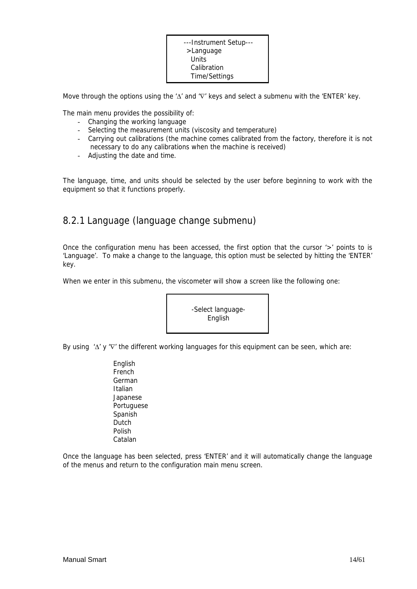| ---Instrument Setup--- |  |
|------------------------|--|
| >Language              |  |
| Units                  |  |
| Calibration            |  |
| Time/Settings          |  |

Move through the options using the 'Δ' and '∇' keys and select a submenu with the 'ENTER' key.

The main menu provides the possibility of:

- Changing the working language
- Selecting the measurement units (viscosity and temperature)
- Carrying out calibrations (the machine comes calibrated from the factory, therefore it is not necessary to do any calibrations when the machine is received)
- Adjusting the date and time.

The language, time, and units should be selected by the user before beginning to work with the equipment so that it functions properly.

## 8.2.1 Language (language change submenu)

Once the configuration menu has been accessed, the first option that the cursor '>' points to is 'Language'. To make a change to the language, this option must be selected by hitting the 'ENTER' key.

When we enter in this submenu, the viscometer will show a screen like the following one:



By using 'Δ' y '∇' the different working languages for this equipment can be seen, which are:

English French German Italian Japanese Portuguese Spanish **Dutch** Polish Catalan

Once the language has been selected, press 'ENTER' and it will automatically change the language of the menus and return to the configuration main menu screen.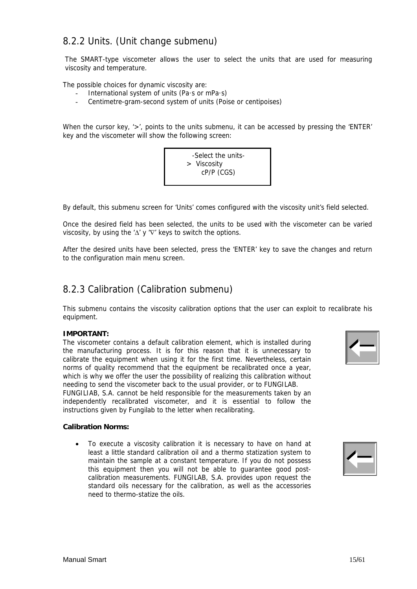## 8.2.2 Units. (Unit change submenu)

The SMART-type viscometer allows the user to select the units that are used for measuring viscosity and temperature.

The possible choices for dynamic viscosity are:

- International system of units (Pa $\cdot$ s or mPa $\cdot$ s)
- Centimetre-gram-second system of units (Poise or centipoises)

When the cursor key, '>', points to the units submenu, it can be accessed by pressing the 'ENTER' key and the viscometer will show the following screen:



By default, this submenu screen for 'Units' comes configured with the viscosity unit's field selected.

Once the desired field has been selected, the units to be used with the viscometer can be varied viscosity, by using the ' $\Delta'$  y ' $\nabla'$  keys to switch the options.

After the desired units have been selected, press the 'ENTER' key to save the changes and return to the configuration main menu screen.

### 8.2.3 Calibration (Calibration submenu)

This submenu contains the viscosity calibration options that the user can exploit to recalibrate his equipment.

#### **IMPORTANT:**

The viscometer contains a default calibration element, which is installed during the manufacturing process. It is for this reason that it is unnecessary to calibrate the equipment when using it for the first time. Nevertheless, certain norms of quality recommend that the equipment be recalibrated once a year, which is why we offer the user the possibility of realizing this calibration without needing to send the viscometer back to the usual provider, or to FUNGILAB.

FUNGILIAB, S.A. cannot be held responsible for the measurements taken by an independently recalibrated viscometer, and it is essential to follow the instructions given by Fungilab to the letter when recalibrating.

#### **Calibration Norms:**

• To execute a viscosity calibration it is necessary to have on hand at least a little standard calibration oil and a thermo statization system to maintain the sample at a constant temperature. If you do not possess this equipment then you will not be able to guarantee good postcalibration measurements. FUNGILAB, S.A. provides upon request the standard oils necessary for the calibration, as well as the accessories need to thermo-statize the oils.



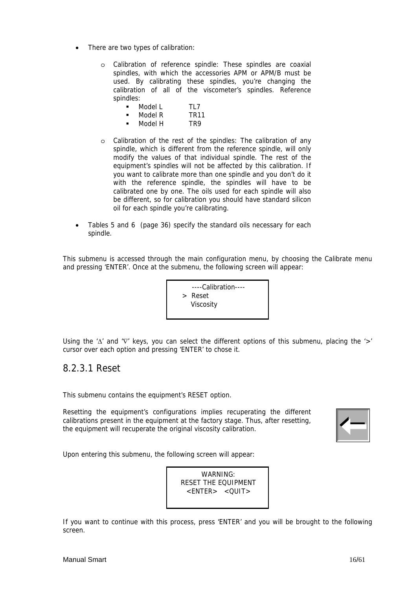- There are two types of calibration:
	- o Calibration of reference spindle: These spindles are coaxial spindles, with which the accessories APM or APM/B must be used. By calibrating these spindles, you're changing the calibration of all of the viscometer's spindles. Reference spindles:

| Model L | TI 7 |
|---------|------|
| Model R | TR11 |

- $\blacksquare$  Model H TR9
- o Calibration of the rest of the spindles: The calibration of any spindle, which is different from the reference spindle, will only modify the values of that individual spindle. The rest of the equipment's spindles will not be affected by this calibration. If you want to calibrate more than one spindle and you don't do it with the reference spindle, the spindles will have to be calibrated one by one. The oils used for each spindle will also be different, so for calibration you should have standard silicon oil for each spindle you're calibrating.
- Tables 5 and 6 (page 36) specify the standard oils necessary for each spindle.

This submenu is accessed through the main configuration menu, by choosing the Calibrate menu and pressing 'ENTER'. Once at the submenu, the following screen will appear:

> ----Calibration---- > Reset Viscosity

Using the ' $\Delta'$  and ' $\nabla'$  keys, you can select the different options of this submenu, placing the '>' cursor over each option and pressing 'ENTER' to chose it.

### 8.2.3.1 Reset

This submenu contains the equipment's RESET option.

Resetting the equipment's configurations implies recuperating the different calibrations present in the equipment at the factory stage. Thus, after resetting, the equipment will recuperate the original viscosity calibration.



Upon entering this submenu, the following screen will appear:

WARNING: RESET THE EQUIPMENT <ENTER> <QUIT>

If you want to continue with this process, press 'ENTER' and you will be brought to the following screen.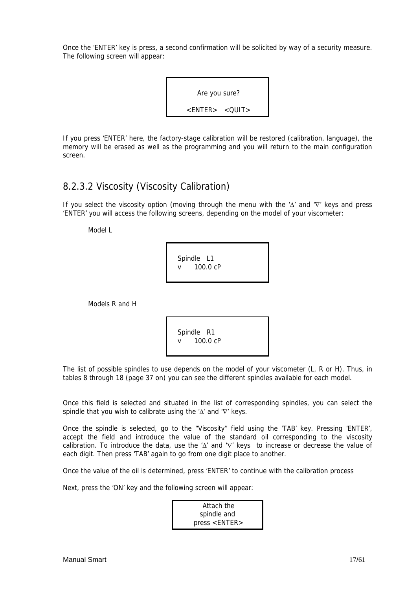Once the 'ENTER' key is press, a second confirmation will be solicited by way of a security measure. The following screen will appear:



If you press 'ENTER' here, the factory-stage calibration will be restored (calibration, language), the memory will be erased as well as the programming and you will return to the main configuration screen.

## 8.2.3.2 Viscosity (Viscosity Calibration)

If you select the viscosity option (moving through the menu with the 'Δ' and '∇' keys and press 'ENTER' you will access the following screens, depending on the model of your viscometer:

Model L

 Spindle L1 v 100.0 cP

Models R and H

 Spindle R1 v 100.0 cP

The list of possible spindles to use depends on the model of your viscometer (L, R or H). Thus, in tables 8 through 18 (page 37 on) you can see the different spindles available for each model.

Once this field is selected and situated in the list of corresponding spindles, you can select the spindle that you wish to calibrate using the 'Δ' and '∇' keys.

Once the spindle is selected, go to the "Viscosity" field using the 'TAB' key. Pressing 'ENTER', accept the field and introduce the value of the standard oil corresponding to the viscosity calibration. To introduce the data, use the 'Δ' and '∇' keys to increase or decrease the value of each digit. Then press 'TAB' again to go from one digit place to another.

Once the value of the oil is determined, press 'ENTER' to continue with the calibration process

Next, press the 'ON' key and the following screen will appear:

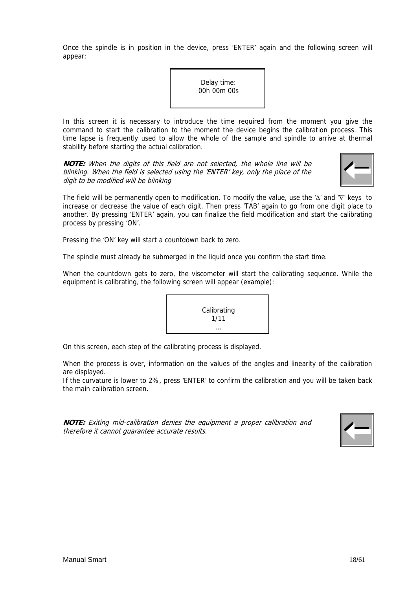Once the spindle is in position in the device, press 'ENTER' again and the following screen will appear:

> Delay time: 00h 00m 00s

In this screen it is necessary to introduce the time required from the moment you give the command to start the calibration to the moment the device begins the calibration process. This time lapse is frequently used to allow the whole of the sample and spindle to arrive at thermal stability before starting the actual calibration.

**NOTE:** When the digits of this field are not selected, the whole line will be blinking. When the field is selected using the 'ENTER' key, only the place of the digit to be modified will be blinking

The field will be permanently open to modification. To modify the value, use the 'Δ' and '∇' keys to increase or decrease the value of each digit. Then press 'TAB' again to go from one digit place to another. By pressing 'ENTER' again, you can finalize the field modification and start the calibrating process by pressing 'ON'.

Pressing the 'ON' key will start a countdown back to zero.

The spindle must already be submerged in the liquid once you confirm the start time.

When the countdown gets to zero, the viscometer will start the calibrating sequence. While the equipment is calibrating, the following screen will appear (example):

On this screen, each step of the calibrating process is displayed.

When the process is over, information on the values of the angles and linearity of the calibration are displayed.

If the curvature is lower to 2%, press 'ENTER' to confirm the calibration and you will be taken back the main calibration screen.

**NOTE:** Exiting mid-calibration denies the equipment a proper calibration and therefore it cannot guarantee accurate results.



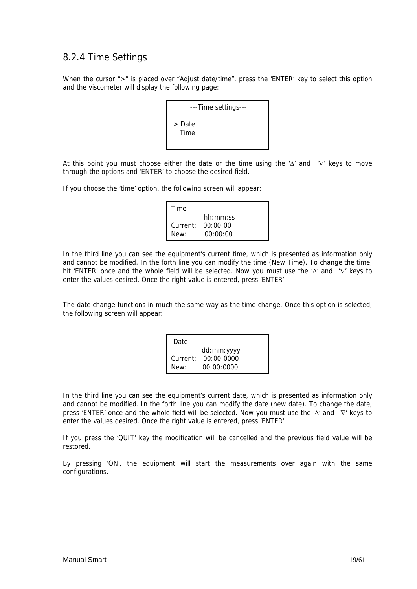## 8.2.4 Time Settings

When the cursor ">" is placed over "Adjust date/time", press the 'ENTER' key to select this option and the viscometer will display the following page:

| ---Time settings---   |  |
|-----------------------|--|
| > Date<br><b>Time</b> |  |

At this point you must choose either the date or the time using the ' $\Delta$ ' and ' $\nabla$ ' keys to move through the options and 'ENTER' to choose the desired field.

If you choose the 'time' option, the following screen will appear:

| Time |                   |
|------|-------------------|
|      | hh:mm:ss          |
|      | Current: 00:00:00 |
| New: | 00:00:00          |

In the third line you can see the equipment's current time, which is presented as information only and cannot be modified. In the forth line you can modify the time (New Time). To change the time, hit 'ENTER' once and the whole field will be selected. Now you must use the 'Δ' and '∇' keys to enter the values desired. Once the right value is entered, press 'ENTER'.

The date change functions in much the same way as the time change. Once this option is selected, the following screen will appear:

| Date     |            |
|----------|------------|
|          | dd:mm:yyyy |
| Current: | 00:00:0000 |
| New:     | 00:00:0000 |

In the third line you can see the equipment's current date, which is presented as information only and cannot be modified. In the forth line you can modify the date (new date). To change the date, press 'ENTER' once and the whole field will be selected. Now you must use the 'Δ' and '∇' keys to enter the values desired. Once the right value is entered, press 'ENTER'.

If you press the 'QUIT' key the modification will be cancelled and the previous field value will be restored.

By pressing 'ON', the equipment will start the measurements over again with the same configurations.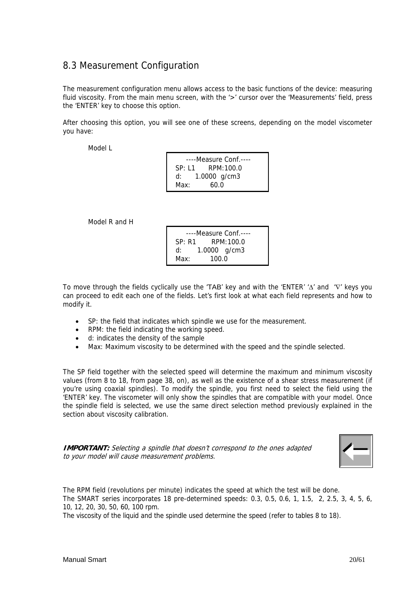## 8.3 Measurement Configuration

The measurement configuration menu allows access to the basic functions of the device: measuring fluid viscosity. From the main menu screen, with the '>' cursor over the 'Measurements' field, press the 'ENTER' key to choose this option.

After choosing this option, you will see one of these screens, depending on the model viscometer you have:

Model L

| ----Measure Conf.---- |                     |  |
|-----------------------|---------------------|--|
|                       | $SP: 11$ RPM: 100.0 |  |
| d:                    | 1.0000 $q/cm3$      |  |
| Max:                  | 60.0                |  |

Model R and H

| ----Measure Conf.---- |              |  |
|-----------------------|--------------|--|
| SP: R1                | RPM:100.0    |  |
| d:                    | 1.0000 g/cm3 |  |
| Max:                  | 100 O        |  |

To move through the fields cyclically use the 'TAB' key and with the 'ENTER' 'Δ' and '∇' keys you can proceed to edit each one of the fields. Let's first look at what each field represents and how to modify it.

- SP: the field that indicates which spindle we use for the measurement.
- RPM: the field indicating the working speed.
- d: indicates the density of the sample
- Max: Maximum viscosity to be determined with the speed and the spindle selected.

The SP field together with the selected speed will determine the maximum and minimum viscosity values (from 8 to 18, from page 38, on), as well as the existence of a shear stress measurement (if you're using coaxial spindles). To modify the spindle, you first need to select the field using the 'ENTER' key. The viscometer will only show the spindles that are compatible with your model. Once the spindle field is selected, we use the same direct selection method previously explained in the section about viscosity calibration.

**IMPORTANT:** Selecting a spindle that doesn't correspond to the ones adapted to your model will cause measurement problems.



The RPM field (revolutions per minute) indicates the speed at which the test will be done. The SMART series incorporates 18 pre-determined speeds: 0.3, 0.5, 0.6, 1, 1.5, 2, 2.5, 3, 4, 5, 6, 10, 12, 20, 30, 50, 60, 100 rpm.

The viscosity of the liquid and the spindle used determine the speed (refer to tables 8 to 18).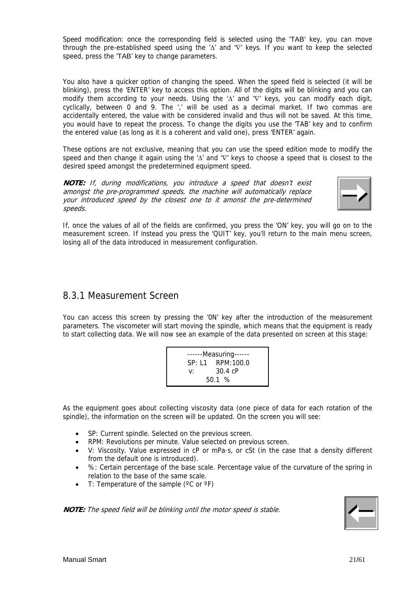Speed modification: once the corresponding field is selected using the 'TAB' key, you can move through the pre-established speed using the 'Δ' and '∇' keys. If you want to keep the selected speed, press the 'TAB' key to change parameters.

You also have a quicker option of changing the speed. When the speed field is selected (it will be blinking), press the 'ENTER' key to access this option. All of the digits will be blinking and you can modify them according to your needs. Using the 'Δ' and 'V' keys, you can modify each digit, cyclically, between 0 and 9. The ',' will be used as a decimal market. If two commas are accidentally entered, the value with be considered invalid and thus will not be saved. At this time, you would have to repeat the process. To change the digits you use the 'TAB' key and to confirm the entered value (as long as it is a coherent and valid one), press 'ENTER' again.

These options are not exclusive, meaning that you can use the speed edition mode to modify the speed and then change it again using the 'Δ' and 'V' keys to choose a speed that is closest to the desired speed amongst the predetermined equipment speed.

**NOTE:** If, during modifications, you introduce a speed that doesn't exist amongst the pre-programmed speeds, the machine will automatically replace your introduced speed by the closest one to it amonst the pre-determined speeds.



If, once the values of all of the fields are confirmed, you press the 'ON' key, you will go on to the measurement screen. If instead you press the 'QUIT' key, you'll return to the main menu screen, losing all of the data introduced in measurement configuration.

### 8.3.1 Measurement Screen

You can access this screen by pressing the '0N' key after the introduction of the measurement parameters. The viscometer will start moving the spindle, which means that the equipment is ready to start collecting data. We will now see an example of the data presented on screen at this stage:

|    | ------Measuring------ |
|----|-----------------------|
|    | SP: L1 RPM:100.0      |
| v: | 30.4 cP               |
|    | 50.1%                 |

As the equipment goes about collecting viscosity data (one piece of data for each rotation of the spindle), the information on the screen will be updated. On the screen you will see:

- SP: Current spindle. Selected on the previous screen.
- RPM: Revolutions per minute. Value selected on previous screen.
- V: Viscosity. Value expressed in cP or mPa·s, or cSt (in the case that a density different from the default one is introduced).
- %: Certain percentage of the base scale. Percentage value of the curvature of the spring in relation to the base of the same scale.
- T: Temperature of the sample (°C or °F)

**NOTE:** The speed field will be blinking until the motor speed is stable.

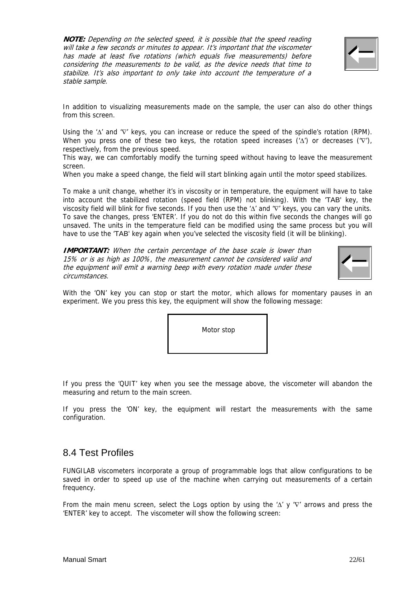**NOTE:** Depending on the selected speed, it is possible that the speed reading will take a few seconds or minutes to appear. It's important that the viscometer has made at least five rotations (which equals five measurements) before considering the measurements to be valid, as the device needs that time to stabilize. It's also important to only take into account the temperature of a stable sample.



In addition to visualizing measurements made on the sample, the user can also do other things from this screen.

Using the 'Δ' and '∇' keys, you can increase or reduce the speed of the spindle's rotation (RPM). When you press one of these two keys, the rotation speed increases (' $\Delta'$ ) or decreases (' $\nabla'$ ), respectively, from the previous speed.

This way, we can comfortably modify the turning speed without having to leave the measurement screen.

When you make a speed change, the field will start blinking again until the motor speed stabilizes.

To make a unit change, whether it's in viscosity or in temperature, the equipment will have to take into account the stabilized rotation (speed field (RPM) not blinking). With the 'TAB' key, the viscosity field will blink for five seconds. If you then use the 'Δ' and '∇' keys, you can vary the units. To save the changes, press 'ENTER'. If you do not do this within five seconds the changes will go unsaved. The units in the temperature field can be modified using the same process but you will have to use the 'TAB' key again when you've selected the viscosity field (it will be blinking).

**IMPORTANT:** When the certain percentage of the base scale is lower than 15% or is as high as 100%, the measurement cannot be considered valid and the equipment will emit a warning beep with every rotation made under these circumstances.



With the 'ON' key you can stop or start the motor, which allows for momentary pauses in an experiment. We you press this key, the equipment will show the following message:

| Motor stop |  |
|------------|--|
|            |  |

If you press the 'QUIT' key when you see the message above, the viscometer will abandon the measuring and return to the main screen.

If you press the 'ON' key, the equipment will restart the measurements with the same configuration.

### 8.4 Test Profiles

FUNGILAB viscometers incorporate a group of programmable logs that allow configurations to be saved in order to speed up use of the machine when carrying out measurements of a certain frequency.

From the main menu screen, select the Logs option by using the ' $\Delta'$  y ' $\nabla'$  arrows and press the 'ENTER' key to accept. The viscometer will show the following screen: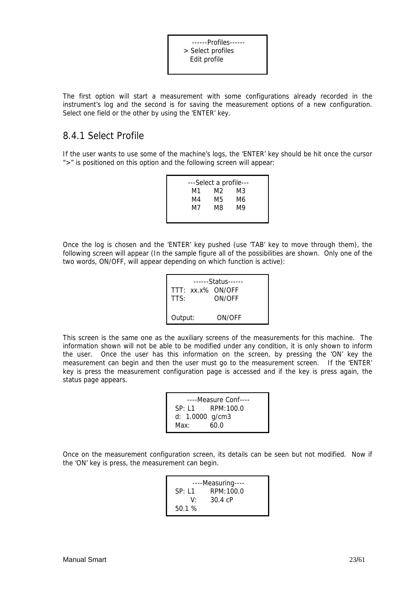------Profiles------ > Select profiles Edit profile

The first option will start a measurement with some configurations already recorded in the instrument's log and the second is for saving the measurement options of a new configuration. Select one field or the other by using the 'ENTER' key.

### 8.4.1 Select Profile

If the user wants to use some of the machine's logs, the 'ENTER' key should be hit once the cursor ">" is positioned on this option and the following screen will appear:

| ---Select a profile--- |    |     |    |  |
|------------------------|----|-----|----|--|
|                        | M1 | M2. | M3 |  |
|                        | M4 | M5  | M6 |  |
|                        | M7 | M8  | M9 |  |
|                        |    |     |    |  |

Once the log is chosen and the 'ENTER' key pushed (use 'TAB' key to move through them), the following screen will appear (In the sample figure all of the possibilities are shown. Only one of the two words, ON/OFF, will appear depending on which function is active):

| TTT: xx.x% ON/OFF | ------Status------ |
|-------------------|--------------------|
| TTS:              | ON/OFF             |
| Output:           | ON/OFF             |

This screen is the same one as the auxiliary screens of the measurements for this machine. The information shown will not be able to be modified under any condition, it is only shown to inform the user. Once the user has this information on the screen, by pressing the 'ON' key the measurement can begin and then the user must go to the measurement screen. If the 'ENTER' key is press the measurement configuration page is accessed and if the key is press again, the status page appears.

|                   | ----Measure Conf---- |
|-------------------|----------------------|
|                   | $SP: 11$ RPM: 100.0  |
| d: $1.0000$ g/cm3 |                      |
| Max:              | 60.0                 |

Once on the measurement configuration screen, its details can be seen but not modified. Now if the 'ON' key is press, the measurement can begin.

| ----Measuring---- |            |  |
|-------------------|------------|--|
| SP: 11            | RPM:100.0  |  |
| V۰                | 30.4 $c$ P |  |
| 50.1%             |            |  |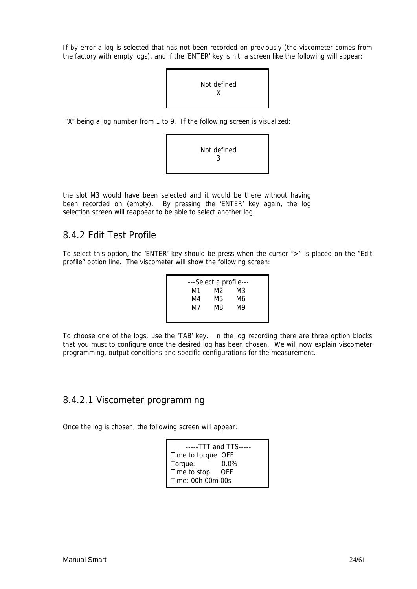If by error a log is selected that has not been recorded on previously (the viscometer comes from the factory with empty logs), and if the 'ENTER' key is hit, a screen like the following will appear:



"X" being a log number from 1 to 9. If the following screen is visualized:



the slot M3 would have been selected and it would be there without having been recorded on (empty). By pressing the 'ENTER' key again, the log selection screen will reappear to be able to select another log.

### 8.4.2 Edit Test Profile

To select this option, the 'ENTER' key should be press when the cursor ">" is placed on the "Edit profile" option line. The viscometer will show the following screen:

| ---Select a profile--- |     |    |  |
|------------------------|-----|----|--|
| M1                     | M2. | M3 |  |
| M4                     | M5. | M6 |  |
| M7                     | M8  | M9 |  |
|                        |     |    |  |

To choose one of the logs, use the 'TAB' key. In the log recording there are three option blocks that you must to configure once the desired log has been chosen. We will now explain viscometer programming, output conditions and specific configurations for the measurement.

### 8.4.2.1 Viscometer programming

Once the log is chosen, the following screen will appear:

| $---TTT$ and $TTS---$ |         |  |
|-----------------------|---------|--|
| Time to torque OFF    |         |  |
| Torque:               | $0.0\%$ |  |
| Time to stop          | - OFF   |  |
| Time: 00h 00m 00s     |         |  |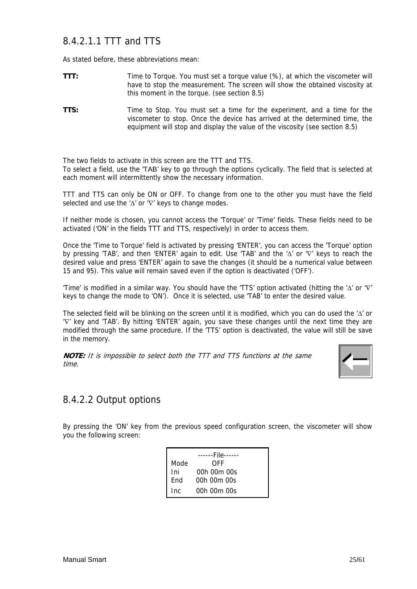## 8.4.2.1.1 TTT and TTS

As stated before, these abbreviations mean:

- **TTT:** Time to Torque. You must set a torque value (%), at which the viscometer will have to stop the measurement. The screen will show the obtained viscosity at this moment in the torque. (see section 8.5)
- **TTS:** Time to Stop. You must set a time for the experiment, and a time for the viscometer to stop. Once the device has arrived at the determined time, the equipment will stop and display the value of the viscosity (see section 8.5)

The two fields to activate in this screen are the TTT and TTS. To select a field, use the 'TAB' key to go through the options cyclically. The field that is selected at each moment will intermittently show the necessary information.

TTT and TTS can only be ON or OFF. To change from one to the other you must have the field selected and use the 'Δ' or '∇' keys to change modes.

If neither mode is chosen, you cannot access the 'Torque' or 'Time' fields. These fields need to be activated ('ON' in the fields TTT and TTS, respectively) in order to access them.

Once the 'Time to Torque' field is activated by pressing 'ENTER', you can access the 'Torque' option by pressing 'TAB', and then 'ENTER' again to edit. Use 'TAB' and the 'Δ' or '∇' keys to reach the desired value and press 'ENTER' again to save the changes (it should be a numerical value between 15 and 95). This value will remain saved even if the option is deactivated ('OFF').

'Time' is modified in a similar way. You should have the 'TTS' option activated (hitting the 'Δ' or '∇' keys to change the mode to 'ON'). Once it is selected, use 'TAB' to enter the desired value.

The selected field will be blinking on the screen until it is modified, which you can do used the 'Δ' or '∇' key and 'TAB'. By hitting 'ENTER' again, you save these changes until the next time they are modified through the same procedure. If the 'TTS' option is deactivated, the value will still be save in the memory.

**NOTE:** It is impossible to select both the TTT and TTS functions at the same time.



### 8.4.2.2 Output options

By pressing the 'ON' key from the previous speed configuration screen, the viscometer will show you the following screen:

|      | ------File------ |
|------|------------------|
| Mode | OFF              |
| Ini  | 00h 00m 00s      |
| Fnd  | 00h 00m 00s      |
| Inc  | 00h 00m 00s      |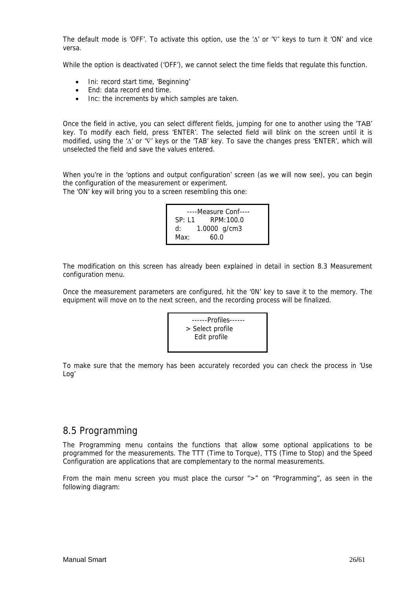The default mode is 'OFF'. To activate this option, use the 'Δ' or '∇' keys to turn it 'ON' and vice versa.

While the option is deactivated ('OFF'), we cannot select the time fields that regulate this function.

- Ini: record start time, 'Beginning'
- End: data record end time.
- Inc: the increments by which samples are taken.

Once the field in active, you can select different fields, jumping for one to another using the 'TAB' key. To modify each field, press 'ENTER'. The selected field will blink on the screen until it is modified, using the 'Δ' or 'V' keys or the 'TAB' key. To save the changes press 'ENTER', which will unselected the field and save the values entered.

When you're in the 'options and output configuration' screen (as we will now see), you can begin the configuration of the measurement or experiment.

The 'ON' key will bring you to a screen resembling this one:

```
----Measure Conf---- 
SP: L1 RPM:100.0 
d: 1.0000 g/cm3 
Max: 60.0
```
The modification on this screen has already been explained in detail in section 8.3 Measurement configuration menu.

Once the measurement parameters are configured, hit the '0N' key to save it to the memory. The equipment will move on to the next screen, and the recording process will be finalized.



To make sure that the memory has been accurately recorded you can check the process in 'Use Log'

### 8.5 Programming

The Programming menu contains the functions that allow some optional applications to be programmed for the measurements. The TTT (Time to Torque), TTS (Time to Stop) and the Speed Configuration are applications that are complementary to the normal measurements.

From the main menu screen you must place the cursor ">" on "Programming", as seen in the following diagram: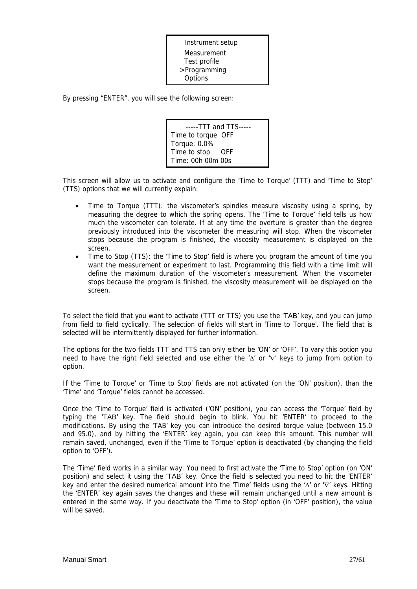Instrument setup Measurement Test profile >Programming **Options** 

By pressing "ENTER", you will see the following screen:

-----TTT and TTS----- Time to torque OFF Torque: 0.0% Time to stop OFF Time: 00h 00m 00s

This screen will allow us to activate and configure the 'Time to Torque' (TTT) and 'Time to Stop' (TTS) options that we will currently explain:

- Time to Torque (TTT): the viscometer's spindles measure viscosity using a spring, by measuring the degree to which the spring opens. The 'Time to Torque' field tells us how much the viscometer can tolerate. If at any time the overture is greater than the degree previously introduced into the viscometer the measuring will stop. When the viscometer stops because the program is finished, the viscosity measurement is displayed on the screen.
- Time to Stop (TTS): the 'Time to Stop' field is where you program the amount of time you want the measurement or experiment to last. Programming this field with a time limit will define the maximum duration of the viscometer's measurement. When the viscometer stops because the program is finished, the viscosity measurement will be displayed on the screen.

To select the field that you want to activate (TTT or TTS) you use the 'TAB' key, and you can jump from field to field cyclically. The selection of fields will start in 'Time to Torque'. The field that is selected will be intermittently displayed for further information.

The options for the two fields TTT and TTS can only either be 'ON' or 'OFF'. To vary this option you need to have the right field selected and use either the 'Δ' or '∇' keys to jump from option to option.

If the 'Time to Torque' or 'Time to Stop' fields are not activated (on the 'ON' position), than the 'Time' and 'Torque' fields cannot be accessed.

Once the 'Time to Torque' field is activated ('ON' position), you can access the 'Torque' field by typing the 'TAB' key. The field should begin to blink. You hit 'ENTER' to proceed to the modifications. By using the 'TAB' key you can introduce the desired torque value (between 15.0 and 95.0), and by hitting the 'ENTER' key again, you can keep this amount. This number will remain saved, unchanged, even if the 'Time to Torque' option is deactivated (by changing the field option to 'OFF').

The 'Time' field works in a similar way. You need to first activate the 'Time to Stop' option (on 'ON' position) and select it using the 'TAB' key. Once the field is selected you need to hit the 'ENTER' key and enter the desired numerical amount into the 'Time' fields using the 'Δ' or '∇' keys. Hitting the 'ENTER' key again saves the changes and these will remain unchanged until a new amount is entered in the same way. If you deactivate the 'Time to Stop' option (in 'OFF' position), the value will be saved.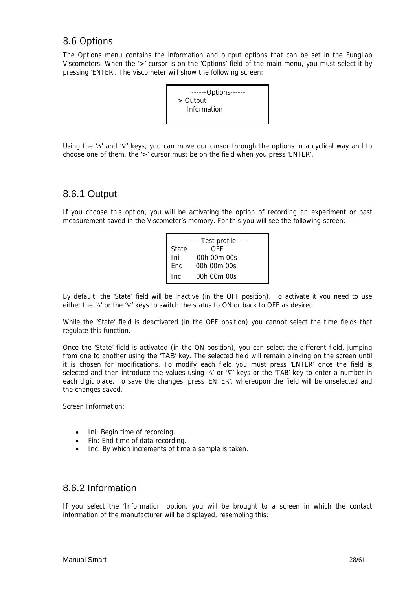## 8.6 Options

The Options menu contains the information and output options that can be set in the Fungilab Viscometers. When the '>' cursor is on the 'Options' field of the main menu, you must select it by pressing 'ENTER'. The viscometer will show the following screen:

| ------Options------ |  |
|---------------------|--|
| > Output            |  |
| Information         |  |
|                     |  |

Using the 'Δ' and '∇' keys, you can move our cursor through the options in a cyclical way and to choose one of them, the '>' cursor must be on the field when you press 'ENTER'.

### 8.6.1 Output

If you choose this option, you will be activating the option of recording an experiment or past measurement saved in the Viscometer's memory. For this you will see the following screen:

| ------Test profile------ |             |  |
|--------------------------|-------------|--|
| State                    | OFF         |  |
| Ini                      | 00h 00m 00s |  |
| End                      | 00h 00m 00s |  |
| Inc                      | 00h 00m 00s |  |

By default, the 'State' field will be inactive (in the OFF position). To activate it you need to use either the ' $\Delta$ ' or the ' $\nabla$ ' keys to switch the status to ON or back to OFF as desired.

While the 'State' field is deactivated (in the OFF position) you cannot select the time fields that regulate this function.

Once the 'State' field is activated (in the ON position), you can select the different field, jumping from one to another using the 'TAB' key. The selected field will remain blinking on the screen until it is chosen for modifications. To modify each field you must press 'ENTER' once the field is selected and then introduce the values using 'Δ' or '∇' keys or the 'TAB' key to enter a number in each digit place. To save the changes, press 'ENTER', whereupon the field will be unselected and the changes saved.

Screen Information:

- Ini: Begin time of recording.
- Fin: End time of data recording.
- Inc: By which increments of time a sample is taken.

### 8.6.2 Information

If you select the 'Information' option, you will be brought to a screen in which the contact information of the manufacturer will be displayed, resembling this: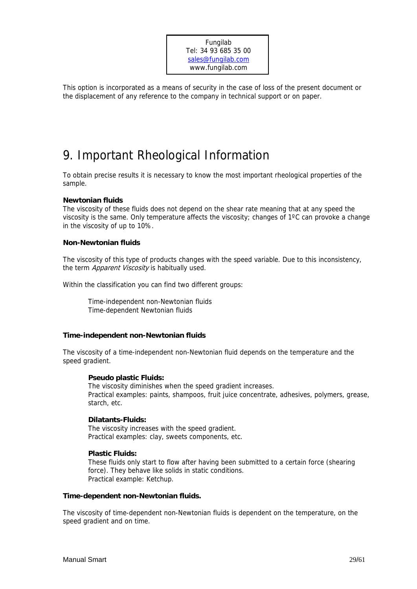Fungilab Tel: 34 93 685 35 00 sales@fungilab.com www.fungilab.com

This option is incorporated as a means of security in the case of loss of the present document or the displacement of any reference to the company in technical support or on paper.

## 9. Important Rheological Information

To obtain precise results it is necessary to know the most important rheological properties of the sample.

#### **Newtonian fluids**

The viscosity of these fluids does not depend on the shear rate meaning that at any speed the viscosity is the same. Only temperature affects the viscosity; changes of 1ºC can provoke a change in the viscosity of up to 10%.

#### **Non-Newtonian fluids**

The viscosity of this type of products changes with the speed variable. Due to this inconsistency, the term Apparent Viscosity is habitually used.

Within the classification you can find two different groups:

 Time-independent non-Newtonian fluids Time-dependent Newtonian fluids

#### **Time-independent non-Newtonian fluids**

The viscosity of a time-independent non-Newtonian fluid depends on the temperature and the speed gradient.

#### **Pseudo plastic Fluids:**

The viscosity diminishes when the speed gradient increases. Practical examples: paints, shampoos, fruit juice concentrate, adhesives, polymers, grease, starch, etc.

#### **Dilatants-Fluids:**

The viscosity increases with the speed gradient. Practical examples: clay, sweets components, etc.

#### **Plastic Fluids:**

These fluids only start to flow after having been submitted to a certain force (shearing force). They behave like solids in static conditions. Practical example: Ketchup.

#### **Time-dependent non-Newtonian fluids.**

The viscosity of time-dependent non-Newtonian fluids is dependent on the temperature, on the speed gradient and on time.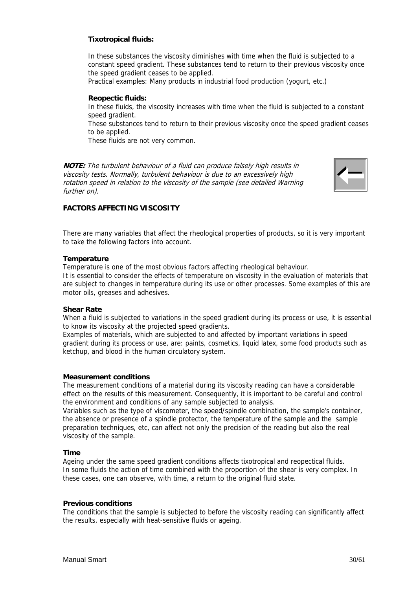#### **Tixotropical fluids:**

In these substances the viscosity diminishes with time when the fluid is subjected to a constant speed gradient. These substances tend to return to their previous viscosity once the speed gradient ceases to be applied.

Practical examples: Many products in industrial food production (yogurt, etc.)

#### **Reopectic fluids:**

In these fluids, the viscosity increases with time when the fluid is subjected to a constant speed gradient.

These substances tend to return to their previous viscosity once the speed gradient ceases to be applied.

These fluids are not very common.

**NOTE:** The turbulent behaviour of a fluid can produce falsely high results in viscosity tests. Normally, turbulent behaviour is due to an excessively high rotation speed in relation to the viscosity of the sample (see detailed Warning further on).



#### **FACTORS AFFECTING VISCOSITY**

There are many variables that affect the rheological properties of products, so it is very important to take the following factors into account.

#### **Temperature**

Temperature is one of the most obvious factors affecting rheological behaviour.

It is essential to consider the effects of temperature on viscosity in the evaluation of materials that are subject to changes in temperature during its use or other processes. Some examples of this are motor oils, greases and adhesives.

#### **Shear Rate**

When a fluid is subjected to variations in the speed gradient during its process or use, it is essential to know its viscosity at the projected speed gradients.

Examples of materials, which are subjected to and affected by important variations in speed gradient during its process or use, are: paints, cosmetics, liquid latex, some food products such as ketchup, and blood in the human circulatory system.

#### **Measurement conditions**

The measurement conditions of a material during its viscosity reading can have a considerable effect on the results of this measurement. Consequently, it is important to be careful and control the environment and conditions of any sample subjected to analysis.

Variables such as the type of viscometer, the speed/spindle combination, the sample's container, the absence or presence of a spindle protector, the temperature of the sample and the sample preparation techniques, etc, can affect not only the precision of the reading but also the real viscosity of the sample.

#### **Time**

Ageing under the same speed gradient conditions affects tixotropical and reopectical fluids. In some fluids the action of time combined with the proportion of the shear is very complex. In these cases, one can observe, with time, a return to the original fluid state.

#### **Previous conditions**

The conditions that the sample is subjected to before the viscosity reading can significantly affect the results, especially with heat-sensitive fluids or ageing.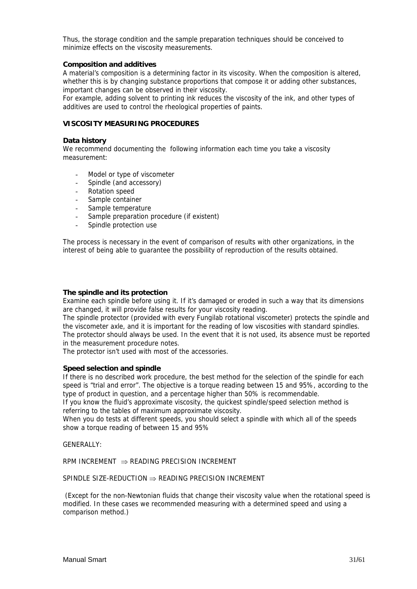Thus, the storage condition and the sample preparation techniques should be conceived to minimize effects on the viscosity measurements.

#### **Composition and additives**

A material's composition is a determining factor in its viscosity. When the composition is altered, whether this is by changing substance proportions that compose it or adding other substances, important changes can be observed in their viscosity.

For example, adding solvent to printing ink reduces the viscosity of the ink, and other types of additives are used to control the rheological properties of paints.

#### **VISCOSITY MEASURING PROCEDURES**

#### **Data history**

We recommend documenting the following information each time you take a viscosity measurement:

- Model or type of viscometer
- Spindle (and accessory)
- Rotation speed
- Sample container
- Sample temperature
- Sample preparation procedure (if existent)
- Spindle protection use

The process is necessary in the event of comparison of results with other organizations, in the interest of being able to guarantee the possibility of reproduction of the results obtained.

#### **The spindle and its protection**

Examine each spindle before using it. If it's damaged or eroded in such a way that its dimensions are changed, it will provide false results for your viscosity reading.

The spindle protector (provided with every Fungilab rotational viscometer) protects the spindle and the viscometer axle, and it is important for the reading of low viscosities with standard spindles. The protector should always be used. In the event that it is not used, its absence must be reported in the measurement procedure notes.

The protector isn't used with most of the accessories.

#### **Speed selection and spindle**

If there is no described work procedure, the best method for the selection of the spindle for each speed is "trial and error". The objective is a torque reading between 15 and 95%, according to the type of product in question, and a percentage higher than 50% is recommendable.

If you know the fluid's approximate viscosity, the quickest spindle/speed selection method is referring to the tables of maximum approximate viscosity.

When you do tests at different speeds, you should select a spindle with which all of the speeds show a torque reading of between 15 and 95%

GENERALLY:

RPM INCREMENT  $\Rightarrow$  READING PRECISION INCREMENT

#### SPINDLE SIZE-REDUCTION  $\Rightarrow$  READING PRECISION INCREMENT

 (Except for the non-Newtonian fluids that change their viscosity value when the rotational speed is modified. In these cases we recommended measuring with a determined speed and using a comparison method.)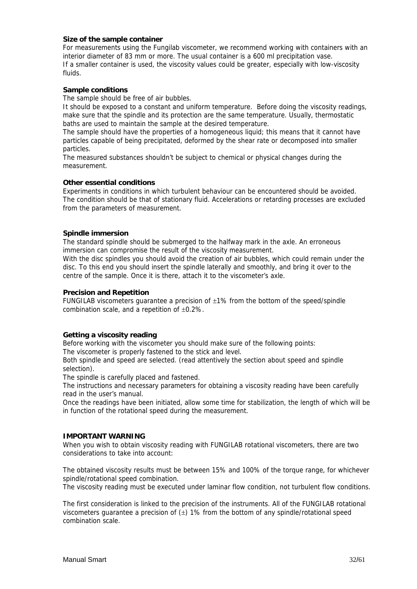#### **Size of the sample container**

For measurements using the Fungilab viscometer, we recommend working with containers with an interior diameter of 83 mm or more. The usual container is a 600 ml precipitation vase. If a smaller container is used, the viscosity values could be greater, especially with low-viscosity fluids.

#### **Sample conditions**

The sample should be free of air bubbles.

It should be exposed to a constant and uniform temperature. Before doing the viscosity readings, make sure that the spindle and its protection are the same temperature. Usually, thermostatic baths are used to maintain the sample at the desired temperature.

The sample should have the properties of a homogeneous liquid; this means that it cannot have particles capable of being precipitated, deformed by the shear rate or decomposed into smaller particles.

The measured substances shouldn't be subject to chemical or physical changes during the measurement.

#### **Other essential conditions**

Experiments in conditions in which turbulent behaviour can be encountered should be avoided. The condition should be that of stationary fluid. Accelerations or retarding processes are excluded from the parameters of measurement.

#### **Spindle immersion**

The standard spindle should be submerged to the halfway mark in the axle. An erroneous immersion can compromise the result of the viscosity measurement.

With the disc spindles you should avoid the creation of air bubbles, which could remain under the disc. To this end you should insert the spindle laterally and smoothly, and bring it over to the centre of the sample. Once it is there, attach it to the viscometer's axle.

#### **Precision and Repetition**

FUNGILAB viscometers guarantee a precision of ±1% from the bottom of the speed/spindle combination scale, and a repetition of ±0.2%.

#### **Getting a viscosity reading**

Before working with the viscometer you should make sure of the following points:

The viscometer is properly fastened to the stick and level.

Both spindle and speed are selected. (read attentively the section about speed and spindle selection).

The spindle is carefully placed and fastened.

The instructions and necessary parameters for obtaining a viscosity reading have been carefully read in the user's manual.

Once the readings have been initiated, allow some time for stabilization, the length of which will be in function of the rotational speed during the measurement.

#### **IMPORTANT WARNING**

When you wish to obtain viscosity reading with FUNGILAB rotational viscometers, there are two considerations to take into account:

The obtained viscosity results must be between 15% and 100% of the torque range, for whichever spindle/rotational speed combination.

The viscosity reading must be executed under laminar flow condition, not turbulent flow conditions.

The first consideration is linked to the precision of the instruments. All of the FUNGILAB rotational viscometers quarantee a precision of  $(\pm)$  1% from the bottom of any spindle/rotational speed combination scale.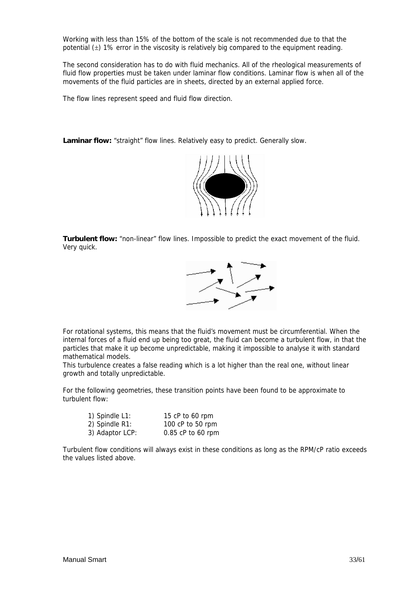Working with less than 15% of the bottom of the scale is not recommended due to that the potential (±) 1% error in the viscosity is relatively big compared to the equipment reading.

The second consideration has to do with fluid mechanics. All of the rheological measurements of fluid flow properties must be taken under laminar flow conditions. Laminar flow is when all of the movements of the fluid particles are in sheets, directed by an external applied force.

The flow lines represent speed and fluid flow direction.

**Laminar flow:** "straight" flow lines. Relatively easy to predict. Generally slow.



**Turbulent flow:** "non-linear" flow lines. Impossible to predict the exact movement of the fluid. Very quick.



For rotational systems, this means that the fluid's movement must be circumferential. When the internal forces of a fluid end up being too great, the fluid can become a turbulent flow, in that the particles that make it up become unpredictable, making it impossible to analyse it with standard mathematical models.

This turbulence creates a false reading which is a lot higher than the real one, without linear growth and totally unpredictable.

For the following geometries, these transition points have been found to be approximate to turbulent flow:

| 1) Spindle L1:  | 15 $cP$ to 60 rpm |
|-----------------|-------------------|
| 2) Spindle R1:  | 100 cP to 50 rpm  |
| 3) Adaptor LCP: | 0.85 cP to 60 rpm |

Turbulent flow conditions will always exist in these conditions as long as the RPM/cP ratio exceeds the values listed above.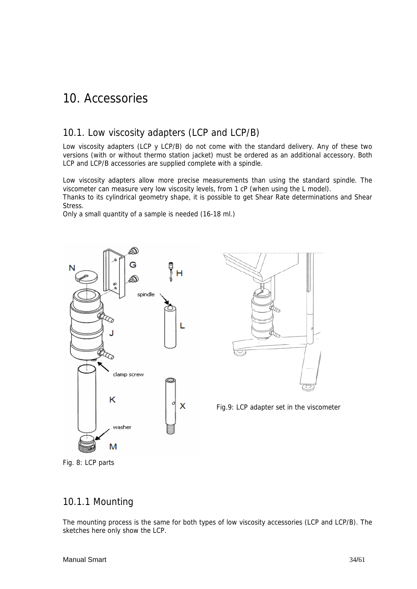## 10. Accessories

## 10.1. Low viscosity adapters (LCP and LCP/B)

Low viscosity adapters (LCP y LCP/B) do not come with the standard delivery. Any of these two versions (with or without thermo station jacket) must be ordered as an additional accessory. Both LCP and LCP/B accessories are supplied complete with a spindle.

Low viscosity adapters allow more precise measurements than using the standard spindle. The viscometer can measure very low viscosity levels, from 1 cP (when using the L model).

Thanks to its cylindrical geometry shape, it is possible to get Shear Rate determinations and Shear Stress.

Only a small quantity of a sample is needed (16-18 ml.)





Fig.9: LCP adapter set in the viscometer

Fig. 8: LCP parts

### 10.1.1 Mounting

The mounting process is the same for both types of low viscosity accessories (LCP and LCP/B). The sketches here only show the LCP.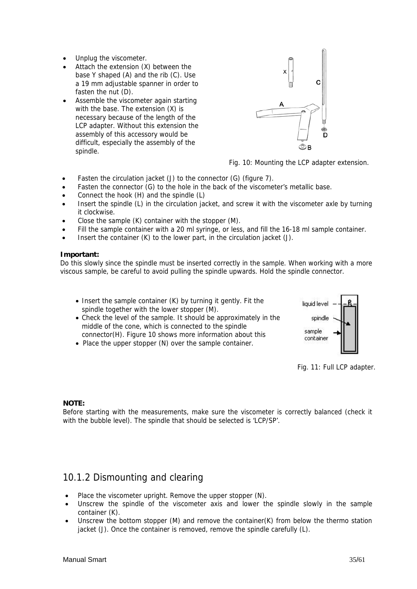- Unplug the viscometer.
- Attach the extension (X) between the base Y shaped (A) and the rib (C). Use a 19 mm adjustable spanner in order to fasten the nut (D).
- Assemble the viscometer again starting with the base. The extension (X) is necessary because of the length of the LCP adapter. Without this extension the assembly of this accessory would be difficult, especially the assembly of the spindle.



Fig. 10: Mounting the LCP adapter extension.

- Fasten the circulation jacket (J) to the connector (G) (figure 7).
- Fasten the connector (G) to the hole in the back of the viscometer's metallic base.
- Connect the hook (H) and the spindle (L)
- Insert the spindle (L) in the circulation jacket, and screw it with the viscometer axle by turning it clockwise.
- Close the sample (K) container with the stopper (M).
- Fill the sample container with a 20 ml syringe, or less, and fill the 16-18 ml sample container.
- Insert the container (K) to the lower part, in the circulation jacket (J).

#### **Important:**

Do this slowly since the spindle must be inserted correctly in the sample. When working with a more viscous sample, be careful to avoid pulling the spindle upwards. Hold the spindle connector.

- Insert the sample container (K) by turning it gently. Fit the spindle together with the lower stopper (M).
- Check the level of the sample. It should be approximately in the middle of the cone, which is connected to the spindle connector(H). Figure 10 shows more information about this
- Place the upper stopper (N) over the sample container.



Fig. 11: Full LCP adapter.

#### **NOTE:**

Before starting with the measurements, make sure the viscometer is correctly balanced (check it with the bubble level). The spindle that should be selected is 'LCP/SP'.

## 10.1.2 Dismounting and clearing

- Place the viscometer upright. Remove the upper stopper (N).
- Unscrew the spindle of the viscometer axis and lower the spindle slowly in the sample container (K).
- Unscrew the bottom stopper (M) and remove the container(K) from below the thermo station jacket (J). Once the container is removed, remove the spindle carefully (L).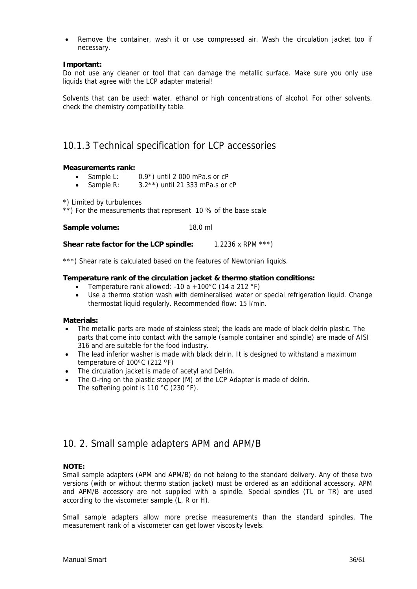• Remove the container, wash it or use compressed air. Wash the circulation jacket too if necessary.

#### **Important:**

Do not use any cleaner or tool that can damage the metallic surface. Make sure you only use liquids that agree with the LCP adapter material!

Solvents that can be used: water, ethanol or high concentrations of alcohol. For other solvents, check the chemistry compatibility table.

### 10.1.3 Technical specification for LCP accessories

#### **Measurements rank:**

- Sample L:  $0.9^*$ ) until 2 000 mPa.s or  $cP$
- Sample R:  $3.2**$ ) until 21 333 mPa.s or cP

\*) Limited by turbulences

\*\*) For the measurements that represent 10 % of the base scale

#### Sample volume: 18.0 ml

**Shear rate factor for the LCP spindle:** 1.2236 x RPM \*\*\*)

\*\*\*) Shear rate is calculated based on the features of Newtonian liquids.

#### **Temperature rank of the circulation jacket & thermo station conditions:**

- Temperature rank allowed: -10 a +100 $^{\circ}$ C (14 a 212  $^{\circ}$ F)
- Use a thermo station wash with demineralised water or special refrigeration liquid. Change thermostat liquid regularly. Recommended flow: 15 l/min.

#### **Materials:**

- The metallic parts are made of stainless steel; the leads are made of black delrin plastic. The parts that come into contact with the sample (sample container and spindle) are made of AISI 316 and are suitable for the food industry.
- The lead inferior washer is made with black delrin. It is designed to withstand a maximum temperature of 100ºC (212 ºF)
- The circulation jacket is made of acetyl and Delrin.
- The O-ring on the plastic stopper (M) of the LCP Adapter is made of delrin. The softening point is 110 °C (230 °F).

## 10. 2. Small sample adapters APM and APM/B

#### **NOTE:**

Small sample adapters (APM and APM/B) do not belong to the standard delivery. Any of these two versions (with or without thermo station jacket) must be ordered as an additional accessory. APM and APM/B accessory are not supplied with a spindle. Special spindles (TL or TR) are used according to the viscometer sample (L, R or H).

Small sample adapters allow more precise measurements than the standard spindles. The measurement rank of a viscometer can get lower viscosity levels.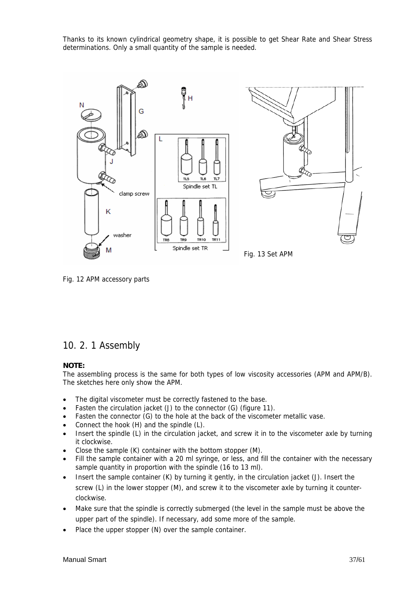Thanks to its known cylindrical geometry shape, it is possible to get Shear Rate and Shear Stress determinations. Only a small quantity of the sample is needed.



Fig. 12 APM accessory parts

### 10. 2. 1 Assembly

#### **NOTE:**

The assembling process is the same for both types of low viscosity accessories (APM and APM/B). The sketches here only show the APM.

- The digital viscometer must be correctly fastened to the base.
- Fasten the circulation jacket (J) to the connector (G) (figure 11).
- Fasten the connector (G) to the hole at the back of the viscometer metallic vase.
- Connect the hook (H) and the spindle (L).
- Insert the spindle (L) in the circulation jacket, and screw it in to the viscometer axle by turning it clockwise.
- Close the sample (K) container with the bottom stopper (M).
- Fill the sample container with a 20 ml syringe, or less, and fill the container with the necessary sample quantity in proportion with the spindle (16 to 13 ml).
- Insert the sample container (K) by turning it gently, in the circulation jacket (J). Insert the screw (L) in the lower stopper (M), and screw it to the viscometer axle by turning it counterclockwise.
- Make sure that the spindle is correctly submerged (the level in the sample must be above the upper part of the spindle). If necessary, add some more of the sample.
- Place the upper stopper (N) over the sample container.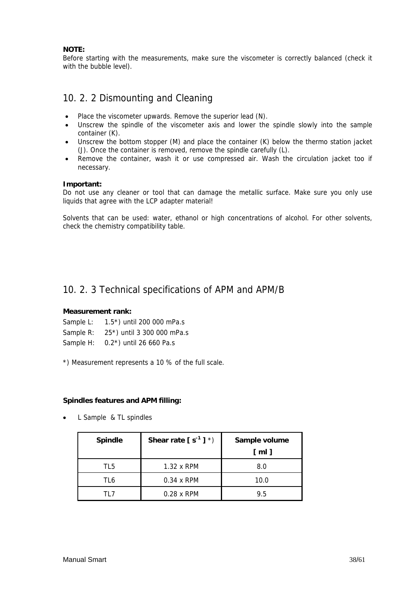#### **NOTE:**

Before starting with the measurements, make sure the viscometer is correctly balanced (check it with the bubble level).

## 10. 2. 2 Dismounting and Cleaning

- Place the viscometer upwards. Remove the superior lead (N).
- Unscrew the spindle of the viscometer axis and lower the spindle slowly into the sample container (K).
- Unscrew the bottom stopper (M) and place the container (K) below the thermo station jacket (J). Once the container is removed, remove the spindle carefully (L).
- Remove the container, wash it or use compressed air. Wash the circulation jacket too if necessary.

#### **Important:**

Do not use any cleaner or tool that can damage the metallic surface. Make sure you only use liquids that agree with the LCP adapter material!

Solvents that can be used: water, ethanol or high concentrations of alcohol. For other solvents, check the chemistry compatibility table.

### 10. 2. 3 Technical specifications of APM and APM/B

#### **Measurement rank:**

- Sample L: 1.5\*) until 200 000 mPa.s
- Sample R: 25\*) until 3 300 000 mPa.s
- Sample H: 0.2\*) until 26 660 Pa.s
- \*) Measurement represents a 10 % of the full scale.

#### **Spindles features and APM filling:**

• L Sample & TL spindles

| <b>Spindle</b> | Shear rate $[s^{-1}]^*$ | Sample volume<br>[ml] |
|----------------|-------------------------|-----------------------|
| TL5            | 1.32 x RPM              | 8.0                   |
| TL6            | $0.34 \times$ RPM       | 10.0                  |
| 11 7           | $0.28 \times$ RPM       | 9.5                   |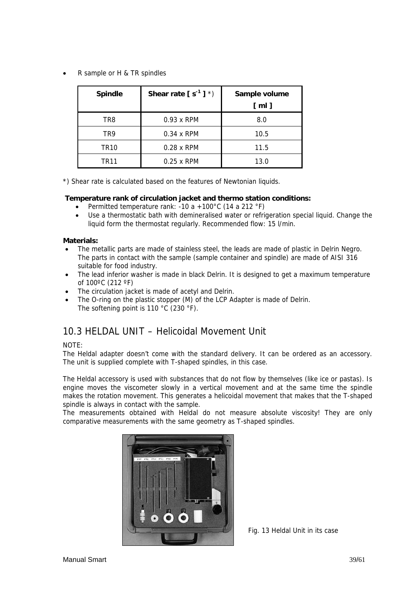• R sample or H & TR spindles

| <b>Spindle</b>   | Shear rate $[s^{-1}]^*$ | Sample volume |  |
|------------------|-------------------------|---------------|--|
|                  |                         | [ml]          |  |
| TR8              | $0.93 \times$ RPM       | 8.0           |  |
| TR9              | $0.34 \times$ RPM       | 10.5          |  |
| TR <sub>10</sub> | $0.28 \times$ RPM       | 11.5          |  |
| TR11             | $0.25 \times$ RPM       | 13.0          |  |

\*) Shear rate is calculated based on the features of Newtonian liquids.

#### **Temperature rank of circulation jacket and thermo station conditions:**

- Permitted temperature rank: -10 a +100°C (14 a 212 °F)
- Use a thermostatic bath with demineralised water or refrigeration special liquid. Change the liquid form the thermostat regularly. Recommended flow: 15 l/min.

#### **Materials:**

- The metallic parts are made of stainless steel, the leads are made of plastic in Delrin Negro. The parts in contact with the sample (sample container and spindle) are made of AISI 316 suitable for food industry.
- The lead inferior washer is made in black Delrin. It is designed to get a maximum temperature of 100ºC (212 ºF)
- The circulation jacket is made of acetyl and Delrin.
- The O-ring on the plastic stopper (M) of the LCP Adapter is made of Delrin. The softening point is 110 °C (230 °F).

## 10.3 HELDAL UNIT – Helicoidal Movement Unit

#### NOTE:

The Heldal adapter doesn't come with the standard delivery. It can be ordered as an accessory. The unit is supplied complete with T-shaped spindles, in this case.

The Heldal accessory is used with substances that do not flow by themselves (like ice or pastas). Is engine moves the viscometer slowly in a vertical movement and at the same time the spindle makes the rotation movement. This generates a helicoidal movement that makes that the T-shaped spindle is always in contact with the sample.

The measurements obtained with Heldal do not measure absolute viscosity! They are only comparative measurements with the same geometry as T-shaped spindles.



Fig. 13 Heldal Unit in its case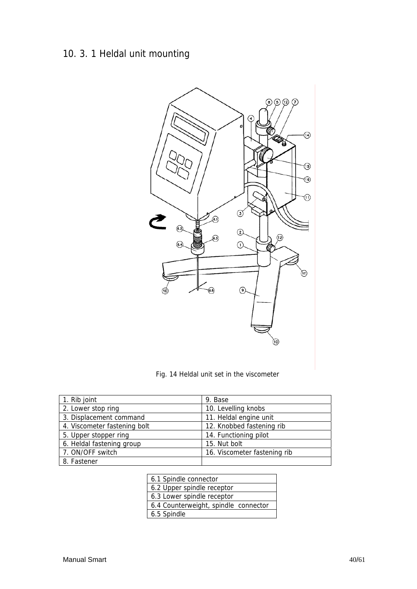## 10. 3. 1 Heldal unit mounting



Fig. 14 Heldal unit set in the viscometer

| 1. Rib joint                 | 9. Base                      |
|------------------------------|------------------------------|
| 2. Lower stop ring           | 10. Levelling knobs          |
| 3. Displacement command      | 11. Heldal engine unit       |
| 4. Viscometer fastening bolt | 12. Knobbed fastening rib    |
| 5. Upper stopper ring        | 14. Functioning pilot        |
| 6. Heldal fastening group    | 15. Nut bolt                 |
| 7. ON/OFF switch             | 16. Viscometer fastening rib |
| 8. Fastener                  |                              |

| 6.1 Spindle connector                |
|--------------------------------------|
| 6.2 Upper spindle receptor           |
| 6.3 Lower spindle receptor           |
| 6.4 Counterweight, spindle connector |
| 6.5 Spindle                          |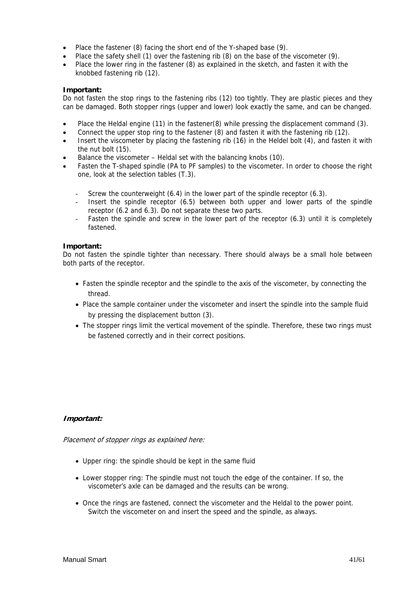- Place the fastener (8) facing the short end of the Y-shaped base (9).
- Place the safety shell (1) over the fastening rib (8) on the base of the viscometer (9).
- Place the lower ring in the fastener (8) as explained in the sketch, and fasten it with the knobbed fastening rib (12).

#### **Important:**

Do not fasten the stop rings to the fastening ribs (12) too tightly. They are plastic pieces and they can be damaged. Both stopper rings (upper and lower) look exactly the same, and can be changed.

- Place the Heldal engine (11) in the fastener(8) while pressing the displacement command (3).
- Connect the upper stop ring to the fastener (8) and fasten it with the fastening rib (12).
- Insert the viscometer by placing the fastening rib (16) in the Heldel bolt (4), and fasten it with the nut bolt (15).
- Balance the viscometer Heldal set with the balancing knobs (10).
- Fasten the T-shaped spindle (PA to PF samples) to the viscometer. In order to choose the right one, look at the selection tables (T.3).
	- Screw the counterweight (6.4) in the lower part of the spindle receptor (6.3).
	- Insert the spindle receptor (6.5) between both upper and lower parts of the spindle receptor (6.2 and 6.3). Do not separate these two parts.
	- Fasten the spindle and screw in the lower part of the receptor  $(6.3)$  until it is completely fastened.

#### **Important:**

Do not fasten the spindle tighter than necessary. There should always be a small hole between both parts of the receptor.

- Fasten the spindle receptor and the spindle to the axis of the viscometer, by connecting the thread.
- Place the sample container under the viscometer and insert the spindle into the sample fluid by pressing the displacement button (3).
- The stopper rings limit the vertical movement of the spindle. Therefore, these two rings must be fastened correctly and in their correct positions.

#### **Important:**

Placement of stopper rings as explained here:

- Upper ring: the spindle should be kept in the same fluid
- Lower stopper ring: The spindle must not touch the edge of the container. If so, the viscometer's axle can be damaged and the results can be wrong.
- Once the rings are fastened, connect the viscometer and the Heldal to the power point. Switch the viscometer on and insert the speed and the spindle, as always.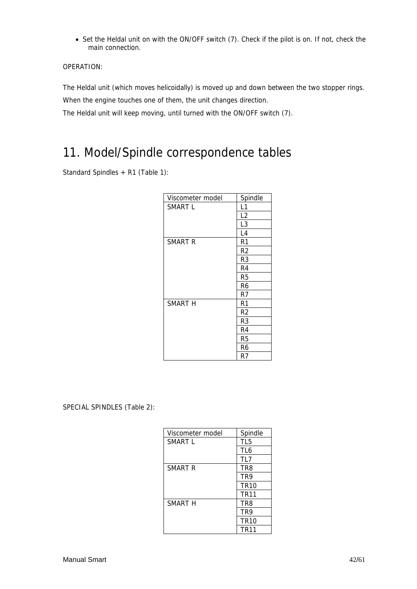• Set the Heldal unit on with the ON/OFF switch (7). Check if the pilot is on. If not, check the main connection.

OPERATION:

The Heldal unit (which moves helicoidally) is moved up and down between the two stopper rings.

When the engine touches one of them, the unit changes direction.

The Heldal unit will keep moving, until turned with the ON/OFF switch (7).

## 11. Model/Spindle correspondence tables

Standard Spindles + R1 (Table 1):

| Viscometer model   | Spindle        |
|--------------------|----------------|
| SMART L            | L1             |
|                    | L2             |
|                    | L3             |
|                    | L4             |
| SMART <sub>R</sub> | R <sub>1</sub> |
|                    | R2             |
|                    | R3             |
|                    | R4             |
|                    | R5             |
|                    | R6             |
|                    | R7             |
| SMART H            | R1             |
|                    | R2             |
|                    | R3             |
|                    | R4             |
|                    | R5             |
|                    | R6             |
|                    | R7             |

SPECIAL SPINDLES (Table 2):

| Viscometer model | Spindle         |  |
|------------------|-----------------|--|
| <b>SMART L</b>   | TL <sub>5</sub> |  |
|                  | TL <sub>6</sub> |  |
|                  | TL7             |  |
| SMART R          | TR8             |  |
|                  | TR9             |  |
|                  | <b>TR10</b>     |  |
|                  | <b>TR11</b>     |  |
| SMART H          | TR8             |  |
|                  | TR9             |  |
|                  | <b>TR10</b>     |  |
|                  | <b>TR11</b>     |  |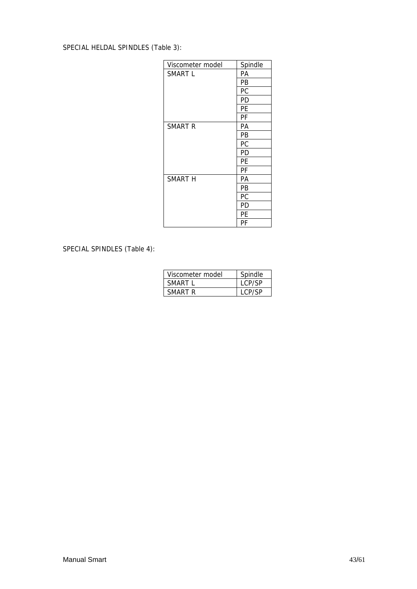### SPECIAL HELDAL SPINDLES (Table 3):

| Viscometer model   | Spindle |  |
|--------------------|---------|--|
| SMART L            | PА      |  |
|                    | PB      |  |
|                    | РC      |  |
|                    | PD      |  |
|                    | PE      |  |
|                    | PF      |  |
| SMART <sub>R</sub> | PА      |  |
|                    | PB      |  |
|                    | РC      |  |
|                    | PD      |  |
|                    | PЕ      |  |
|                    | PF      |  |
| SMART H            | PА      |  |
|                    | PB      |  |
|                    | РC      |  |
|                    | PD      |  |
|                    | PE      |  |
|                    | PF      |  |

### SPECIAL SPINDLES (Table 4):

| Viscometer model | Spindle |
|------------------|---------|
| SMART L          | LCP/SP  |
| SMART R          | LCP/SP  |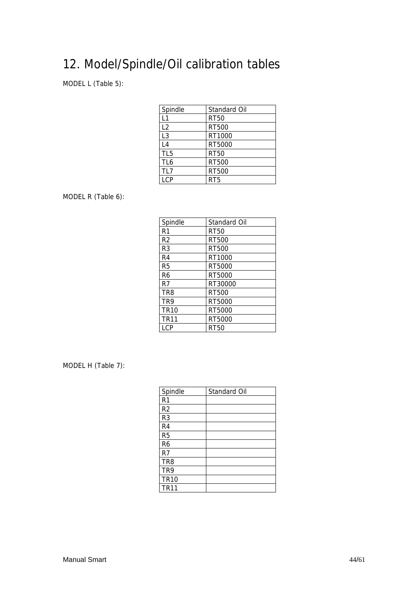## 12. Model/Spindle/Oil calibration tables

MODEL L (Table 5):

| Spindle         | Standard Oil |
|-----------------|--------------|
| L1              | <b>RT50</b>  |
| L2              | RT500        |
| L <sub>3</sub>  | RT1000       |
| L4              | RT5000       |
| TL <sub>5</sub> | <b>RT50</b>  |
| TL <sub>6</sub> | RT500        |
| TL7             | RT500        |
| I CP            | RT5          |

MODEL R (Table 6):

| Spindle          | Standard Oil |  |
|------------------|--------------|--|
| R <sub>1</sub>   | RT50         |  |
| R <sub>2</sub>   | RT500        |  |
| R <sub>3</sub>   | RT500        |  |
| R <sub>4</sub>   | RT1000       |  |
| R <sub>5</sub>   | RT5000       |  |
| R <sub>6</sub>   | RT5000       |  |
| R7               | RT30000      |  |
| TR <sub>8</sub>  | RT500        |  |
| TR9              | RT5000       |  |
| TR <sub>10</sub> | RT5000       |  |
| <b>TR11</b>      | RT5000       |  |
| I CP             | <b>RT50</b>  |  |

MODEL H (Table 7):

| Spindle         | Standard Oil |
|-----------------|--------------|
| R <sub>1</sub>  |              |
| R <sub>2</sub>  |              |
| R <sub>3</sub>  |              |
| R <sub>4</sub>  |              |
| R <sub>5</sub>  |              |
| R <sub>6</sub>  |              |
| R <sub>7</sub>  |              |
| TR <sub>8</sub> |              |
| TR9             |              |
| <b>TR10</b>     |              |
| <b>TR11</b>     |              |
|                 |              |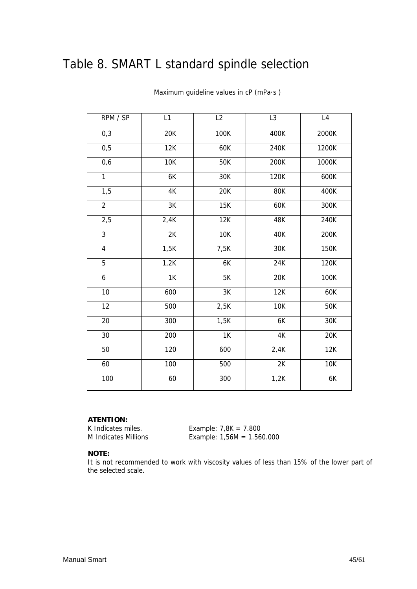## Table 8. SMART L standard spindle selection

| RPM / SP       | L1         | L2            | L <sub>3</sub> | L4                            |
|----------------|------------|---------------|----------------|-------------------------------|
| 0,3            | 20K        | 100K          | 400K           | 2000K                         |
| 0,5            | 12K        | 60K           | 240K           | 1200K                         |
| 0,6            | <b>10K</b> | 50K           | 200K           | 1000K                         |
| 1              | 6K         | 30K           | 120K           | 600K                          |
| 1,5            | 4K         | 20K           | 80K            | 400K                          |
| $\overline{2}$ | 3K         | <b>15K</b>    | 60K            | 300K                          |
| 2,5            | 2,4K       | 12K           | 48K            | 240K                          |
| $\overline{3}$ | 2K         | 10K           | 40K            | 200K                          |
| $\overline{4}$ | 1,5K       | 7,5K          | 30K            | 150K                          |
| $\overline{5}$ | 1,2K       | 6K            | 24K            | 120K                          |
| 6              | 1K         | 5K            | 20K            | 100K                          |
| 10             | 600        | $3\mathrm{K}$ | 12K            | 60K                           |
| 12             | 500        | 2,5K          | 10K            | 50K                           |
| 20             | 300        | 1,5K          | 6K             | 30K                           |
| 30             | 200        | 1K            | $4\mathrm{K}$  | 20K                           |
| 50             | 120        | 600           | 2,4K           | $\overline{1}$ <sub>2</sub> K |
| 60             | 100        | 500           | 2K             | <b>10K</b>                    |
| 100            | 60         | 300           | 1,2K           | 6K                            |

Maximum guideline values in cP (mPa·s )

#### **ATENTION:**

K Indicates miles. Example: 7,8K = 7.800 M Indicates Millions Example: 1,56M = 1.560.000

#### **NOTE:**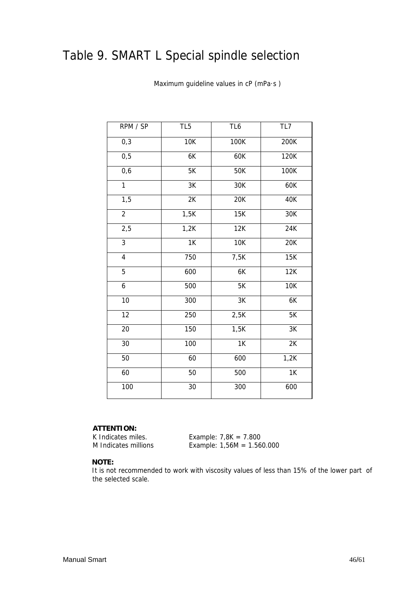## Table 9. SMART L Special spindle selection

| RPM / SP                | TL <sub>5</sub> | TL6             | TL7        |
|-------------------------|-----------------|-----------------|------------|
| 0,3                     | 10K             | 100K            | 200K       |
| 0,5                     | 6K              | 60K             | 120K       |
| 0,6                     | 5K              | 50K             | 100K       |
| 1                       | 3K              | 30K             | 60K        |
| 1,5                     | 2K              | 20K             | 40K        |
| $\overline{2}$          | 1,5K            | 15K             | 30K        |
| 2,5                     | 1,2K            | 12K             | 24K        |
| $\overline{3}$          | 1K              | <b>10K</b>      | 20K        |
| $\overline{\mathbf{4}}$ | 750             | 7,5K            | 15K        |
| $\overline{5}$          | 600             | 6K              | 12K        |
| $\boldsymbol{6}$        | 500             | 5K              | <b>10K</b> |
| 10                      | 300             | $3K$            | 6K         |
| 12                      | 250             | 2,5K            | 5K         |
| 20                      | 150             | 1,5K            | 3K         |
| 30                      | 100             | $\overline{1K}$ | 2K         |
| 50                      | 60              | 600             | 1,2K       |
| 60                      | 50              | 500             | 1K         |
| 100                     | $\overline{30}$ | 300             | 600        |

Maximum guideline values in cP (mPa·s )

#### **ATTENTION:**

K Indicates miles. Example:  $7,8K = 7.800$ M Indicates millions Example: 1,56M = 1.560.000

#### **NOTE:**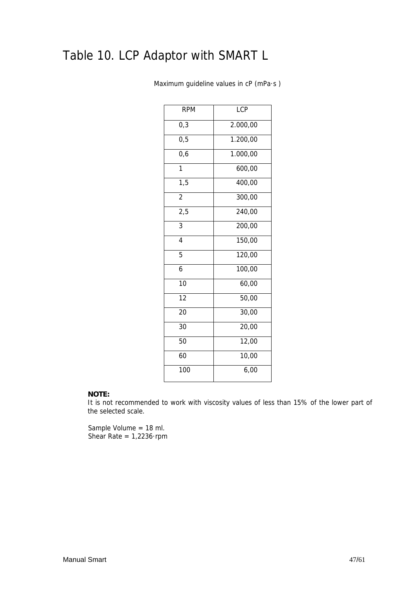## Table 10. LCP Adaptor with SMART L

| <b>RPM</b>       | LCP      |  |  |  |  |
|------------------|----------|--|--|--|--|
| 0,3              | 2.000,00 |  |  |  |  |
| 0, 5             | 1.200,00 |  |  |  |  |
| 0,6              | 1.000,00 |  |  |  |  |
| 1                | 600,00   |  |  |  |  |
| $\overline{1,5}$ | 400,00   |  |  |  |  |
| $\overline{c}$   | 300,00   |  |  |  |  |
| 2,5              | 240,00   |  |  |  |  |
| $\overline{3}$   | 200,00   |  |  |  |  |
| $\overline{4}$   | 150,00   |  |  |  |  |
| 5                | 120,00   |  |  |  |  |
| 6                | 100,00   |  |  |  |  |
| $\overline{10}$  | 60,00    |  |  |  |  |
| $\overline{12}$  | 50,00    |  |  |  |  |
| 20               | 30,00    |  |  |  |  |
| 30               | 20,00    |  |  |  |  |
| 50               | 12,00    |  |  |  |  |
| 60               | 10,00    |  |  |  |  |
| 100              | 6,00     |  |  |  |  |

Maximum guideline values in cP (mPa·s )

#### **NOTE:**

It is not recommended to work with viscosity values of less than 15% of the lower part of the selected scale.

 Sample Volume = 18 ml. Shear Rate =  $1,2236$ ·rpm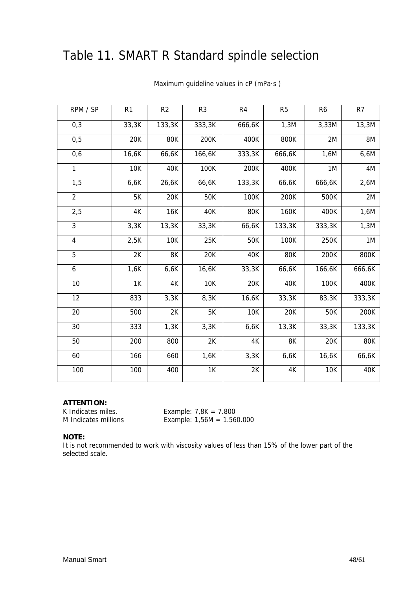## Table 11. SMART R Standard spindle selection

| RPM / SP                | R <sub>1</sub> | R <sub>2</sub> | R <sub>3</sub> | R4     | R <sub>5</sub> | R <sub>6</sub> | R <sub>7</sub> |
|-------------------------|----------------|----------------|----------------|--------|----------------|----------------|----------------|
| 0,3                     | 33,3K          | 133,3K         | 333,3K         | 666,6K | 1,3M           | 3,33M          | 13,3M          |
| 0,5                     | 20K            | 80K            | 200K           | 400K   | 800K           | 2M             | 8M             |
| 0,6                     | 16,6K          | 66,6K          | 166,6K         | 333,3K | 666,6K         | 1,6M           | 6,6M           |
| 1                       | <b>10K</b>     | 40K            | 100K           | 200K   | 400K           | 1M             | 4M             |
| 1,5                     | 6,6K           | 26,6K          | 66,6K          | 133,3K | 66,6K          | 666,6K         | 2,6M           |
| $\overline{2}$          | 5K             | 20K            | 50K            | 100K   | 200K           | 500K           | 2M             |
| 2,5                     | 4K             | 16K            | 40K            | 80K    | 160K           | 400K           | 1,6M           |
| 3                       | 3,3K           | 13,3K          | 33,3K          | 66,6K  | 133,3K         | 333,3K         | 1,3M           |
| $\overline{\mathbf{4}}$ | 2,5K           | <b>10K</b>     | 25K            | 50K    | 100K           | 250K           | 1M             |
| 5                       | 2K             | 8K             | 20K            | 40K    | 80K            | 200K           | 800K           |
| 6                       | 1,6K           | 6,6K           | 16,6K          | 33,3K  | 66,6K          | 166,6K         | 666,6K         |
| 10                      | 1K             | 4K             | <b>10K</b>     | 20K    | 40K            | 100K           | 400K           |
| 12                      | 833            | 3,3K           | 8,3K           | 16,6K  | 33,3K          | 83,3K          | 333,3K         |
| 20                      | 500            | 2K             | 5K             | 10K    | 20K            | 50K            | 200K           |
| 30                      | 333            | 1,3K           | 3,3K           | 6,6K   | 13,3K          | 33,3K          | 133,3K         |
| 50                      | 200            | 800            | 2K             | 4K     | 8K             | 20K            | 80K            |
| 60                      | 166            | 660            | 1,6K           | 3,3K   | 6,6K           | 16,6K          | 66,6K          |
| 100                     | 100            | 400            | 1K             | 2K     | 4K             | 10K            | 40K            |

Maximum guideline values in cP (mPa·s )

#### **ATTENTION:**

K Indicates miles. Example:  $7,8K = 7.800$ M Indicates millions Example: 1,56M = 1.560.000

#### **NOTE:**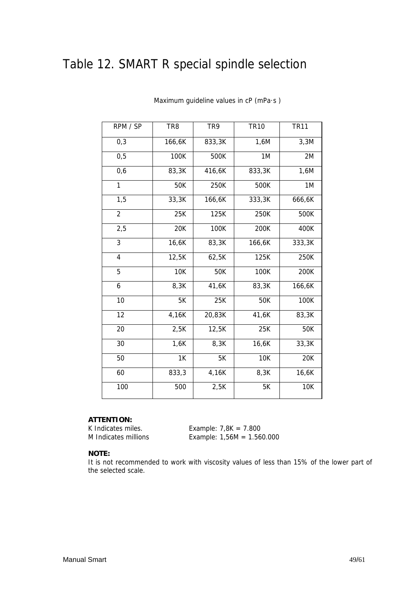## Table 12. SMART R special spindle selection

| RPM / SP       | TR <sub>8</sub> | TR9    | <b>TR10</b> | <b>TR11</b> |
|----------------|-----------------|--------|-------------|-------------|
| 0,3            | 166,6K          | 833,3K | 1,6M        | 3,3M        |
| 0,5            | 100K            | 500K   | 1M          | 2M          |
| 0,6            | 83,3K           | 416,6K | 833,3K      | 1,6M        |
| 1              | 50K             | 250K   | 500K        | 1M          |
| 1,5            | 33,3K           | 166,6K | 333,3K      | 666,6K      |
| $\overline{2}$ | 25K             | 125K   | 250K        | 500K        |
| 2,5            | 20K             | 100K   | 200K        | 400K        |
| 3              | 16,6K           | 83,3K  | 166,6K      | 333,3K      |
| $\overline{4}$ | 12,5K           | 62,5K  | 125K        | 250K        |
| 5              | 10K             | 50K    | 100K        | 200K        |
| 6              | 8,3K            | 41,6K  | 83,3K       | 166,6K      |
| 10             | 5K              | 25K    | 50K         | 100K        |
| 12             | 4,16K           | 20,83K | 41,6K       | 83,3K       |
| 20             | 2,5K            | 12,5K  | 25K         | 50K         |
| 30             | 1,6K            | 8,3K   | 16,6K       | 33,3K       |
| 50             | 1K              | 5K     | <b>10K</b>  | 20K         |
| 60             | 833,3           | 4,16K  | 8,3K        | 16,6K       |
| 100            | 500             | 2,5K   | 5K          | <b>10K</b>  |

Maximum guideline values in cP (mPa·s )

#### **ATTENTION:**

K Indicates miles. Example: 7,8K = 7.800 M Indicates millions Example: 1,56M = 1.560.000

#### **NOTE:**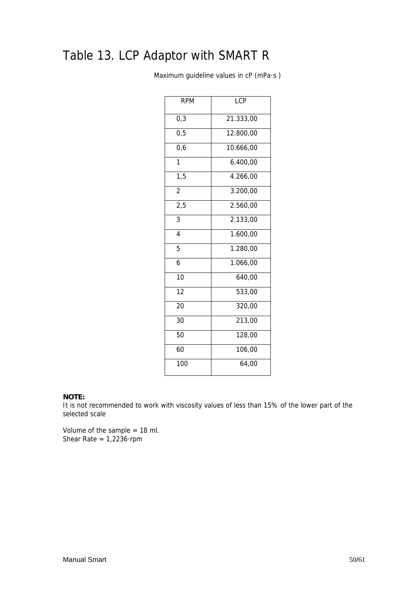## Table 13. LCP Adaptor with SMART R

Maximum guideline values in cP (mPa·s )

| <b>RPM</b>      | <b>LCP</b> |
|-----------------|------------|
| 0,3             | 21.333,00  |
| 0,5             | 12.800,00  |
| 0,6             | 10.666,00  |
| 1               | 6.400,00   |
| 1,5             | 4.266,00   |
| $\overline{2}$  | 3.200,00   |
| 2,5             | 2.560,00   |
| 3               | 2.133,00   |
| $\overline{4}$  | 1.600,00   |
| 5               | 1.280,00   |
| 6               | 1.066,00   |
| 10              | 640,00     |
| $\overline{12}$ | 533,00     |
| 20              | 320,00     |
| 30              | 213,00     |
| 50              | 128,00     |
| 60              | 106,00     |
| 100             | 64,00      |
|                 |            |

#### **NOTE:**

It is not recommended to work with viscosity values of less than 15% of the lower part of the selected scale

Volume of the sample = 18 ml. Shear Rate =  $1,2236$ ·rpm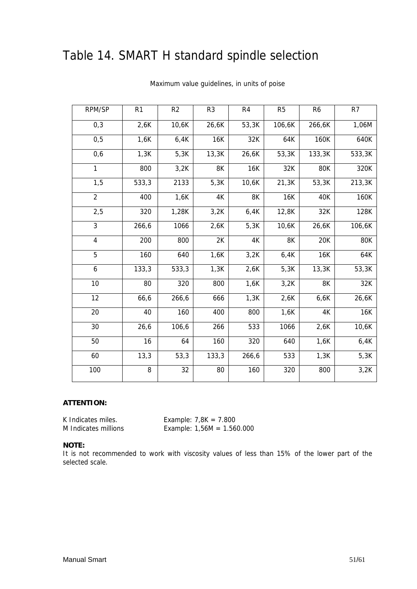## Table 14. SMART H standard spindle selection

| RPM/SP         | R <sub>1</sub> | R <sub>2</sub> | R <sub>3</sub> | R <sub>4</sub> | R <sub>5</sub> | R <sub>6</sub> | R <sub>7</sub> |
|----------------|----------------|----------------|----------------|----------------|----------------|----------------|----------------|
| 0,3            | 2,6K           | 10,6K          | 26,6K          | 53,3K          | 106,6K         | 266,6K         | 1,06M          |
| 0, 5           | 1,6K           | 6,4K           | 16K            | 32K            | 64K            | 160K           | 640K           |
| 0,6            | 1,3K           | 5,3K           | 13,3K          | 26,6K          | 53,3K          | 133,3K         | 533,3K         |
| 1              | 800            | 3,2K           | 8K             | 16K            | 32K            | <b>80K</b>     | 320K           |
| 1,5            | 533,3          | 2133           | 5,3K           | 10,6K          | 21,3K          | 53,3K          | 213,3K         |
| $\overline{2}$ | 400            | 1,6K           | 4K             | 8K             | 16K            | 40K            | 160K           |
| 2,5            | 320            | 1,28K          | 3,2K           | 6,4K           | 12,8K          | 32K            | 128K           |
| 3              | 266,6          | 1066           | 2,6K           | 5,3K           | 10,6K          | 26,6K          | 106,6K         |
| 4              | 200            | 800            | 2K             | 4K             | 8K             | 20K            | 80K            |
| 5              | 160            | 640            | 1,6K           | 3,2K           | 6,4K           | 16K            | 64K            |
| 6              | 133,3          | 533,3          | 1,3K           | 2,6K           | 5,3K           | 13,3K          | 53,3K          |
| 10             | 80             | 320            | 800            | 1,6K           | 3,2K           | 8K             | 32K            |
| 12             | 66,6           | 266,6          | 666            | 1,3K           | 2,6K           | 6,6K           | 26,6K          |
| 20             | 40             | 160            | 400            | 800            | 1,6K           | 4K             | 16K            |
| 30             | 26,6           | 106,6          | 266            | 533            | 1066           | 2,6K           | 10,6K          |
| 50             | 16             | 64             | 160            | 320            | 640            | 1,6K           | 6,4K           |
| 60             | 13,3           | 53,3           | 133,3          | 266,6          | 533            | 1,3K           | 5,3K           |
| 100            | 8              | 32             | 80             | 160            | 320            | 800            | 3,2K           |

#### Maximum value guidelines, in units of poise

#### **ATTENTION:**

K Indicates miles. Example: 7,8K = 7.800 M Indicates millions Example: 1,56M = 1.560.000

#### **NOTE:**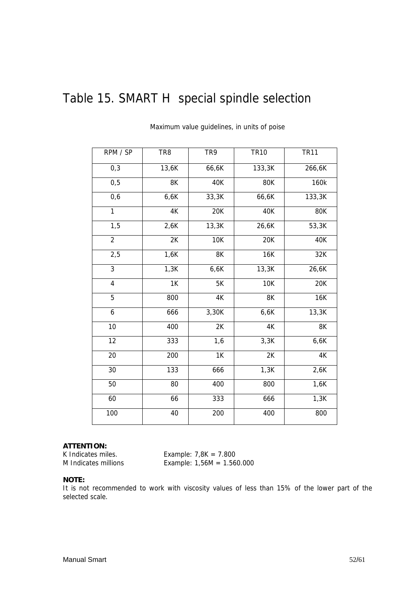## Table 15. SMART H special spindle selection

| RPM / SP                | TR <sub>8</sub>    | TR9        | <b>TR10</b> | <b>TR11</b>   |
|-------------------------|--------------------|------------|-------------|---------------|
| 0,3                     | $\overline{13,6K}$ | 66,6K      | 133,3K      | 266,6K        |
| 0,5                     | 8K                 | 40K        | 80K         | 160k          |
| 0,6                     | 6,6K               | 33,3K      | 66,6K       | 133,3K        |
| $\mathbf{1}$            | 4K                 | 20K        | 40K         | <b>80K</b>    |
| $\overline{1,5}$        | 2,6K               | 13,3K      | 26,6K       | 53,3K         |
| $\overline{2}$          | 2K                 | <b>10K</b> | 20K         | 40K           |
| 2,5                     | 1,6K               | 8K         | <b>16K</b>  | 32K           |
| $\overline{3}$          | 1,3K               | 6,6K       | 13,3K       | 26,6K         |
| $\overline{\mathbf{4}}$ | 1K                 | 5K         | 10K         | 20K           |
| 5                       | 800                | 4K         | 8K          | <b>16K</b>    |
| 6                       | 666                | 3,30K      | 6,6K        | 13,3K         |
| 10                      | 400                | 2K         | 4K          | 8K            |
| 12                      | 333                | 1,6        | 3,3K        | 6,6K          |
| 20                      | 200                | 1K         | 2K          | $4\mathrm{K}$ |
| 30                      | 133                | 666        | 1,3K        | 2,6K          |
| 50                      | 80                 | 400        | 800         | 1,6K          |
| 60                      | 66                 | 333        | 666         | 1,3K          |
| 100                     | 40                 | 200        | 400         | 800           |

Maximum value guidelines, in units of poise

#### **ATTENTION:**

K Indicates miles. Example:  $7,8K = 7.800$ M Indicates millions Example: 1,56M = 1.560.000

#### **NOTE:**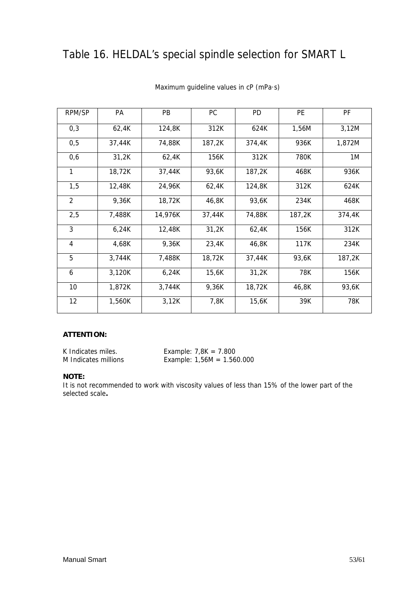## Table 16. HELDAL's special spindle selection for SMART L

| RPM/SP         | PA     | PB      | PC     | <b>PD</b> | PE     | PF     |
|----------------|--------|---------|--------|-----------|--------|--------|
| 0,3            | 62,4K  | 124,8K  | 312K   | 624K      | 1,56M  | 3,12M  |
| 0,5            | 37,44K | 74,88K  | 187,2K | 374,4K    | 936K   | 1,872M |
| 0,6            | 31,2K  | 62,4K   | 156K   | 312K      | 780K   | 1M     |
| 1              | 18,72K | 37,44K  | 93,6K  | 187,2K    | 468K   | 936K   |
| 1,5            | 12,48K | 24,96K  | 62,4K  | 124,8K    | 312K   | 624K   |
| $\overline{2}$ | 9,36K  | 18,72K  | 46,8K  | 93,6K     | 234K   | 468K   |
| 2,5            | 7,488K | 14,976K | 37,44K | 74,88K    | 187,2K | 374,4K |
| 3              | 6,24K  | 12,48K  | 31,2K  | 62,4K     | 156K   | 312K   |
| 4              | 4,68K  | 9,36K   | 23,4K  | 46,8K     | 117K   | 234K   |
| 5              | 3,744K | 7,488K  | 18,72K | 37,44K    | 93,6K  | 187,2K |
| 6              | 3,120K | 6,24K   | 15,6K  | 31,2K     | 78K    | 156K   |
| 10             | 1,872K | 3,744K  | 9,36K  | 18,72K    | 46,8K  | 93,6K  |
| 12             | 1,560K | 3,12K   | 7,8K   | 15,6K     | 39K    | 78K    |

#### Maximum guideline values in cP (mPa·s)

#### **ATTENTION:**

| K Indicates miles.   | Example: $7,8K = 7.800$      |
|----------------------|------------------------------|
| M Indicates millions | Example: $1,56M = 1.560.000$ |

#### **NOTE:**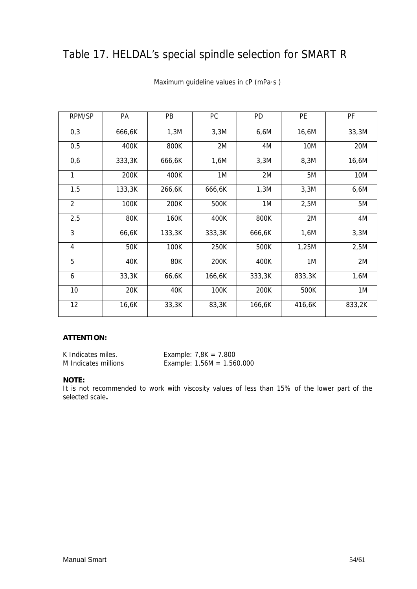## Table 17. HELDAL's special spindle selection for SMART R

| RPM/SP         | PA     | PB     | PC     | PD     | PE         | PF     |
|----------------|--------|--------|--------|--------|------------|--------|
| 0,3            | 666,6K | 1,3M   | 3,3M   | 6,6M   | 16,6M      | 33,3M  |
| 0,5            | 400K   | 800K   | 2M     | 4M     | <b>10M</b> | 20M    |
| 0,6            | 333,3K | 666,6K | 1,6M   | 3,3M   | 8,3M       | 16,6M  |
| 1              | 200K   | 400K   | 1M     | 2M     | 5M         | 10M    |
| 1,5            | 133,3K | 266,6K | 666,6K | 1,3M   | 3,3M       | 6,6M   |
| $\overline{2}$ | 100K   | 200K   | 500K   | 1M     | 2,5M       | 5M     |
| 2,5            | 80K    | 160K   | 400K   | 800K   | 2M         | 4M     |
| 3              | 66,6K  | 133,3K | 333,3K | 666,6K | 1,6M       | 3,3M   |
| 4              | 50K    | 100K   | 250K   | 500K   | 1,25M      | 2,5M   |
| 5              | 40K    | 80K    | 200K   | 400K   | 1M         | 2M     |
| 6              | 33,3K  | 66,6K  | 166,6K | 333,3K | 833,3K     | 1,6M   |
| 10             | 20K    | 40K    | 100K   | 200K   | 500K       | 1M     |
| 12             | 16,6K  | 33,3K  | 83,3K  | 166,6K | 416,6K     | 833,2K |

#### Maximum guideline values in cP (mPa·s )

#### **ATTENTION:**

K Indicates miles. Example:  $7,8K = 7.800$ M Indicates millions Example: 1,56M = 1.560.000

#### **NOTE:**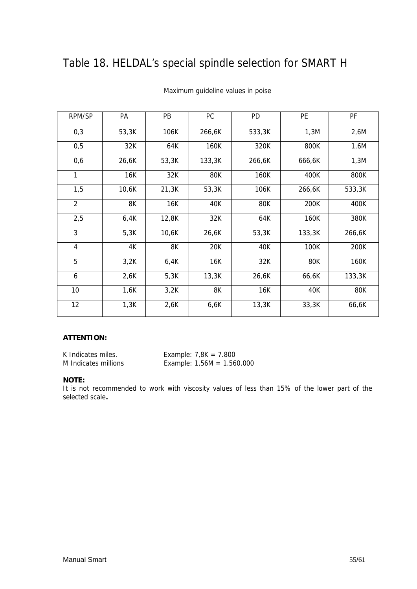## Table 18. HELDAL's special spindle selection for SMART H

| RPM/SP         | PA    | PB    | PC     | PD     | PE     | PF     |
|----------------|-------|-------|--------|--------|--------|--------|
| 0,3            | 53,3K | 106K  | 266,6K | 533,3K | 1,3M   | 2,6M   |
| 0,5            | 32K   | 64K   | 160K   | 320K   | 800K   | 1,6M   |
| 0,6            | 26,6K | 53,3K | 133,3K | 266,6K | 666,6K | 1,3M   |
| 1              | 16K   | 32K   | 80K    | 160K   | 400K   | 800K   |
| 1,5            | 10,6K | 21,3K | 53,3K  | 106K   | 266,6K | 533,3K |
| $\overline{2}$ | 8K    | 16K   | 40K    | 80K    | 200K   | 400K   |
| 2,5            | 6,4K  | 12,8K | 32K    | 64K    | 160K   | 380K   |
| 3              | 5,3K  | 10,6K | 26,6K  | 53,3K  | 133,3K | 266,6K |
| $\overline{4}$ | 4K    | 8K    | 20K    | 40K    | 100K   | 200K   |
| 5              | 3,2K  | 6,4K  | 16K    | 32K    | 80K    | 160K   |
| 6              | 2,6K  | 5,3K  | 13,3K  | 26,6K  | 66,6K  | 133,3K |
| 10             | 1,6K  | 3,2K  | 8K     | 16K    | 40K    | 80K    |
| 12             | 1,3K  | 2,6K  | 6,6K   | 13,3K  | 33,3K  | 66,6K  |

#### Maximum guideline values in poise

#### **ATTENTION:**

K Indicates miles. Example: 7,8K = 7.800

M Indicates millions Example: 1,56M = 1.560.000

#### **NOTE:**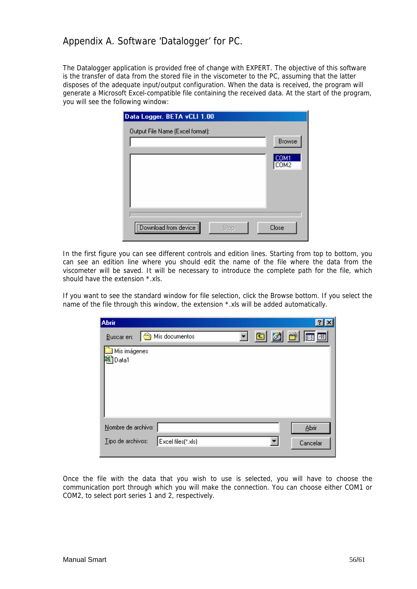## Appendix A. Software 'Datalogger' for PC.

The Datalogger application is provided free of change with EXPERT. The objective of this software is the transfer of data from the stored file in the viscometer to the PC, assuming that the latter disposes of the adequate input/output configuration. When the data is received, the program will generate a Microsoft Excel-compatible file containing the received data. At the start of the program, you will see the following window:

| Data Logger. BETA vCLI 1.00      |                               |
|----------------------------------|-------------------------------|
| Output File Name (Excel format): | <b>Browse</b><br>COM1<br>COM2 |
| Download from device<br>Stop     | Close                         |

In the first figure you can see different controls and edition lines. Starting from top to bottom, you can see an edition line where you should edit the name of the file where the data from the viscometer will be saved. It will be necessary to introduce the complete path for the file, which should have the extension \*.xls.

If you want to see the standard window for file selection, click the Browse bottom. If you select the name of the file through this window, the extension \*.xls will be added automatically.

| <b>Abrir</b>          |                    |  |  |                |
|-----------------------|--------------------|--|--|----------------|
| Buscar en:            | Mis documentos     |  |  | <u>ten are</u> |
| Mis imágenes<br>Data1 |                    |  |  |                |
|                       |                    |  |  |                |
|                       |                    |  |  |                |
|                       |                    |  |  |                |
|                       |                    |  |  |                |
| Nombre de archivo:    |                    |  |  | Abrir          |
| Tipo de archivos:     | Excel files(*.xls) |  |  | Cancelar       |
|                       |                    |  |  |                |

Once the file with the data that you wish to use is selected, you will have to choose the communication port through which you will make the connection. You can choose either COM1 or COM2, to select port series 1 and 2, respectively.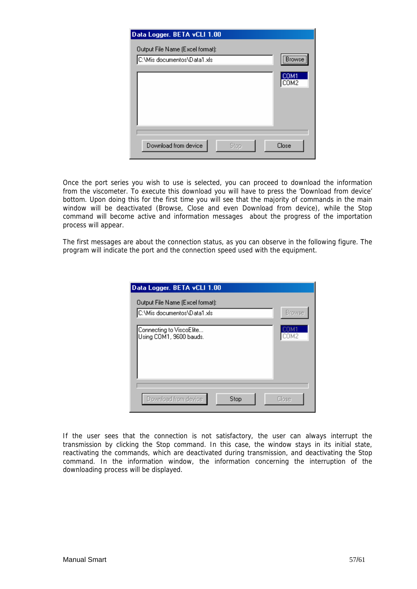| Data Logger. BETA vCLI 1.00                                     |                           |
|-----------------------------------------------------------------|---------------------------|
| Output File Name (Excel format):<br>C:\Mis documentos\Data1.xls | ***************<br>Browse |
|                                                                 | COM1<br>COM2              |
|                                                                 |                           |
|                                                                 |                           |
| Download from device<br>Stop                                    | Close                     |

Once the port series you wish to use is selected, you can proceed to download the information from the viscometer. To execute this download you will have to press the 'Download from device' bottom. Upon doing this for the first time you will see that the majority of commands in the main window will be deactivated (Browse, Close and even Download from device), while the Stop command will become active and information messages about the progress of the importation process will appear.

The first messages are about the connection status, as you can observe in the following figure. The program will indicate the port and the connection speed used with the equipment.

| Data Logger. BETA vCLI 1.00                         |               |
|-----------------------------------------------------|---------------|
| Output File Name (Excel format):                    |               |
| C:\Mis documentos\Data1.xls                         | <b>Browse</b> |
| Connecting to ViscoElite<br>Using COM1, 9600 bauds. | COM2          |
| Download from device<br>Stop                        | Close         |

If the user sees that the connection is not satisfactory, the user can always interrupt the transmission by clicking the Stop command. In this case, the window stays in its initial state, reactivating the commands, which are deactivated during transmission, and deactivating the Stop command. In the information window, the information concerning the interruption of the downloading process will be displayed.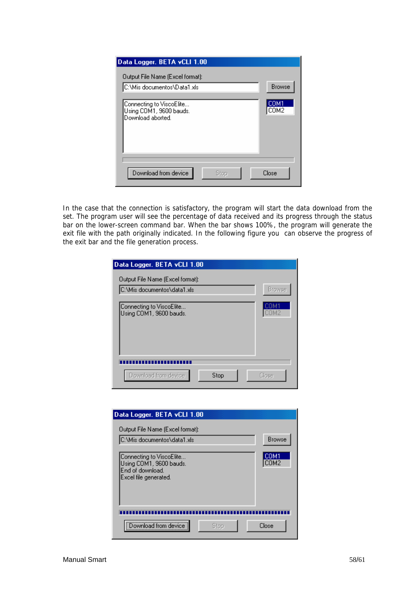| Data Logger, BETA vCLI 1.00                                              |               |
|--------------------------------------------------------------------------|---------------|
| Output File Name (Excel format):<br>C:\Mis documentos\Data1.xls          | <b>Browse</b> |
| Connecting to ViscoElite<br>Using COM1, 9600 bauds.<br>Download aborted. | COM1<br>COM2  |
| Download from device<br>Stop                                             | Close         |

In the case that the connection is satisfactory, the program will start the data download from the set. The program user will see the percentage of data received and its progress through the status bar on the lower-screen command bar. When the bar shows 100%, the program will generate the exit file with the path originally indicated. In the following figure you can observe the progress of the exit bar and the file generation process.

| Data Logger, BETA vCLI 1.00                         |              |
|-----------------------------------------------------|--------------|
| Output File Name (Excel format):                    |              |
| C:\Mis documentos\data1.xls                         | Browse       |
| Connecting to ViscoElite<br>Using COM1, 9600 bauds. |              |
|                                                     |              |
| Download from device<br>Stop                        | <b>Close</b> |

| Data Logger. BETA vCLI 1.00                                                                      |               |
|--------------------------------------------------------------------------------------------------|---------------|
| Output File Name (Excel format):<br>C:\Mis documentos\data1.xls                                  | <b>Browse</b> |
| Connecting to ViscoElite<br>Using COM1, 9600 bauds.<br>End of download.<br>Excel file generated. | COM1<br>COM2  |
| Download from device                                                                             | Close         |
| Stop                                                                                             |               |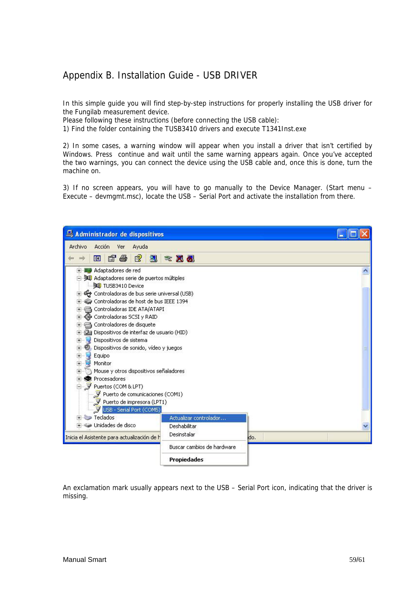## Appendix B. Installation Guide - USB DRIVER

In this simple guide you will find step-by-step instructions for properly installing the USB driver for the Fungilab measurement device.

Please following these instructions (before connecting the USB cable):

1) Find the folder containing the TUSB3410 drivers and execute T1341Inst.exe

2) In some cases, a warning window will appear when you install a driver that isn't certified by Windows. Press continue and wait until the same warning appears again. Once you've accepted the two warnings, you can connect the device using the USB cable and, once this is done, turn the machine on.

3) If no screen appears, you will have to go manually to the Device Manager. (Start menu – Execute – devmgmt.msc), locate the USB – Serial Port and activate the installation from there.

| Administrador de dispositivos                             |                            |      |  |
|-----------------------------------------------------------|----------------------------|------|--|
| Archivo<br>Acción<br>Ayuda<br>Ver                         |                            |      |  |
| ピ<br>图<br>図<br>噕<br>回                                     | 叉の<br>æ.                   |      |  |
| 田 图 Adaptadores de red                                    |                            |      |  |
| Adaptadores serie de puertos múltiples<br>TUSB3410 Device |                            |      |  |
| Controladoras de bus serie universal (USB)<br>$+$         |                            |      |  |
| Controladoras de host de bus IEEE 1394<br>$+$             |                            |      |  |
| Controladoras IDE ATA/ATAPI<br>$+$                        |                            |      |  |
| « Controladoras SCSI y RAID<br>$+$                        |                            |      |  |
| Controladores de disquete<br>$+$                          |                            |      |  |
| Dispositivos de interfaz de usuario (HID)                 |                            |      |  |
| Dispositivos de sistema<br>$+$                            |                            |      |  |
| Dispositivos de sonido, vídeo y juegos<br>$+$             |                            |      |  |
| Equipo<br>$+$                                             |                            |      |  |
| Ė<br>Monitor                                              |                            |      |  |
| Mouse y otros dispositivos señaladores<br>$+$             |                            |      |  |
| <b>泰</b> Procesadores<br>$+$                              |                            |      |  |
| Puertos (COM & LPT)                                       |                            |      |  |
| Puerto de comunicaciones (COM1)                           |                            |      |  |
| Puerto de impresora (LPT1)                                |                            |      |  |
| USB - Serial Port (COMS)<br>Teclados<br><b>Johnson</b>    |                            |      |  |
| $+$<br>Unidades de disco                                  | Actualizar controlador     |      |  |
|                                                           | Deshabilitar               |      |  |
| Inicia el Asistente para actualización de h               | Desinstalar                | ido. |  |
|                                                           | Buscar cambios de hardware |      |  |
|                                                           | <b>Propiedades</b>         |      |  |

An exclamation mark usually appears next to the USB – Serial Port icon, indicating that the driver is missing.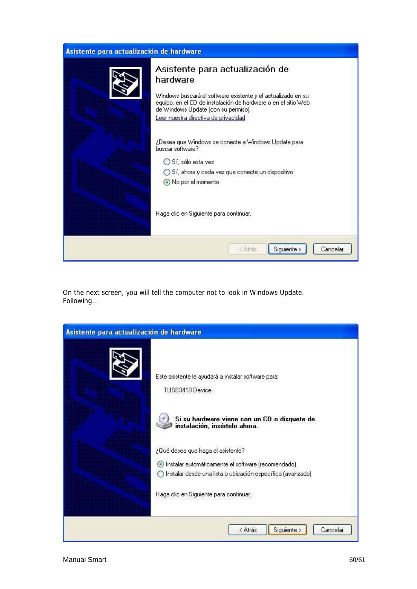| Asistente para actualización de hardware |                                                                                                                                                                                                                                                              |
|------------------------------------------|--------------------------------------------------------------------------------------------------------------------------------------------------------------------------------------------------------------------------------------------------------------|
|                                          | Asistente para actualización de<br>hardware<br>Windows buscará el software existente y el actualizado en su<br>equipo, en el CD de instalación de hardware o en el sitio Web-<br>de Windows Update (con su permiso).<br>Leer nuestra directiva de privacidad |
|                                          | ¿Desea que Windows se conecte a Windows Update para<br>buscar software?<br>◯ Sí, sólo esta vez<br>◯ Sí, ahora y cada vez que conecte un dispositivo<br>No por el momento                                                                                     |
|                                          | Haga clic en Siguiente para continuar.                                                                                                                                                                                                                       |
|                                          | Siguiente ><br>< Atrás<br>Cancelar                                                                                                                                                                                                                           |

On the next screen, you will tell the computer not to look in Windows Update. Following…